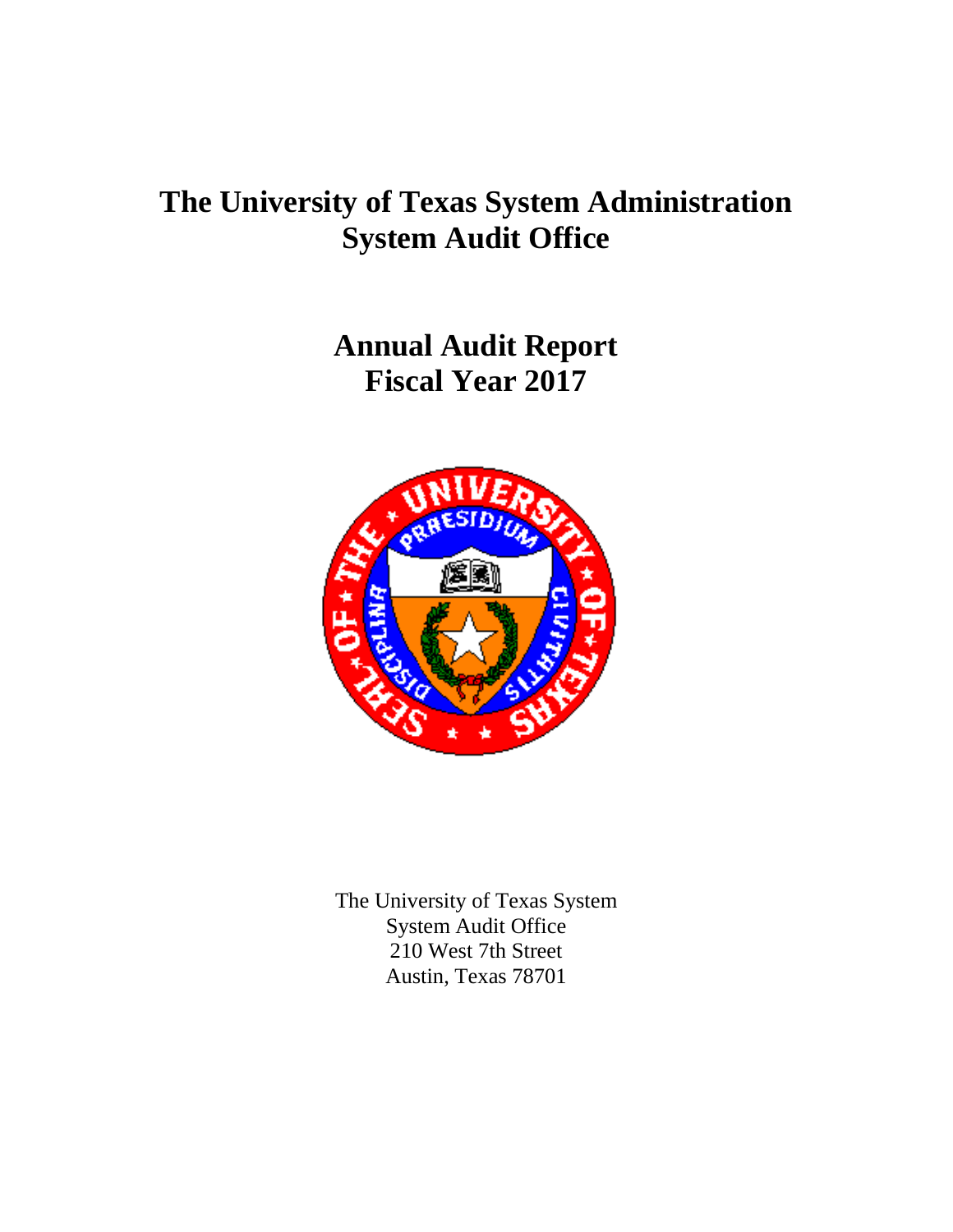# **The University of Texas System Administration System Audit Office**

**Annual Audit Report Fiscal Year 2017**



The University of Texas System System Audit Office 210 West 7th Street Austin, Texas 78701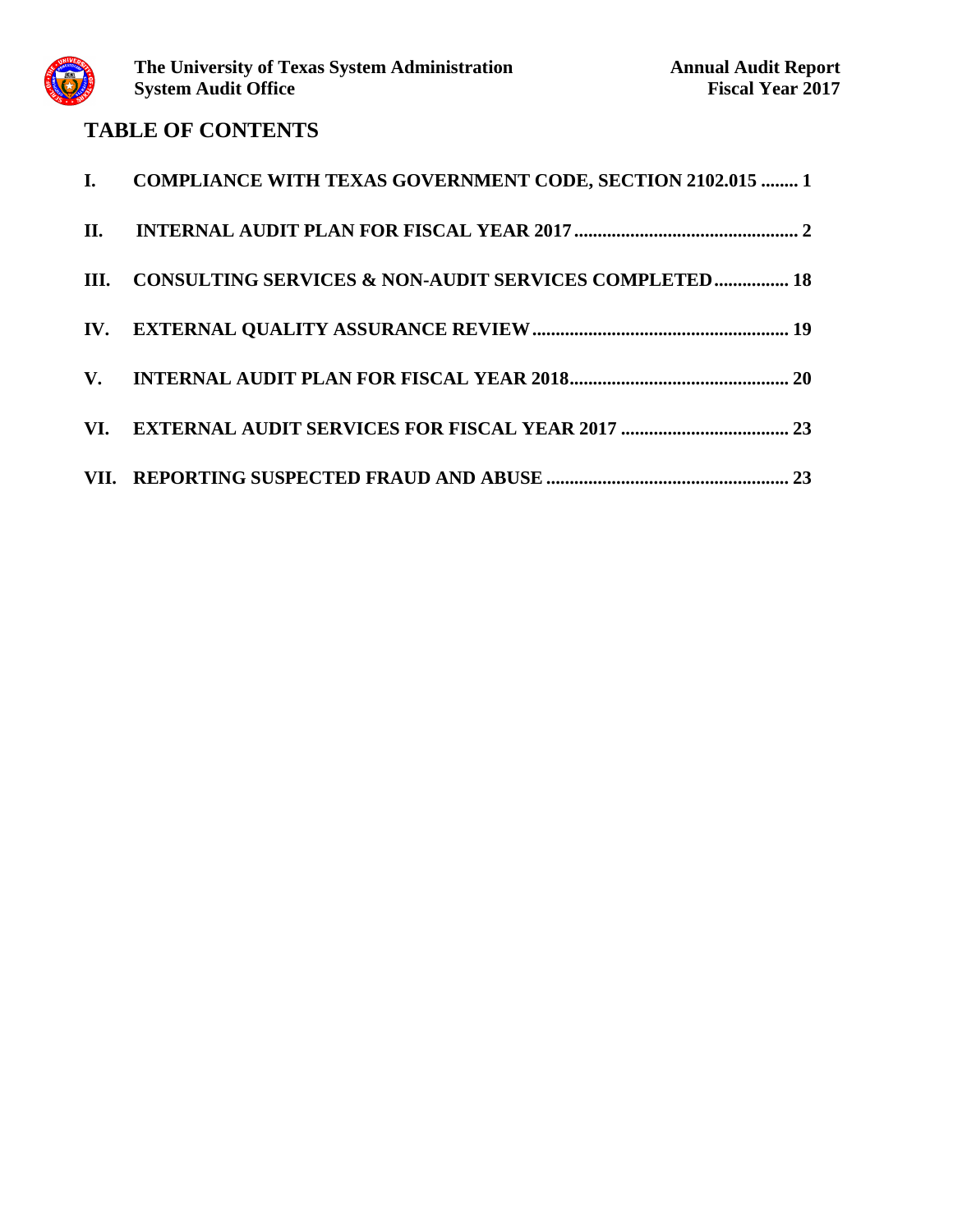

## **TABLE OF CONTENTS**

| I. COMPLIANCE WITH TEXAS GOVERNMENT CODE, SECTION 2102.015  1 |
|---------------------------------------------------------------|
|                                                               |
| III. CONSULTING SERVICES & NON-AUDIT SERVICES COMPLETED 18    |
|                                                               |
|                                                               |
|                                                               |
|                                                               |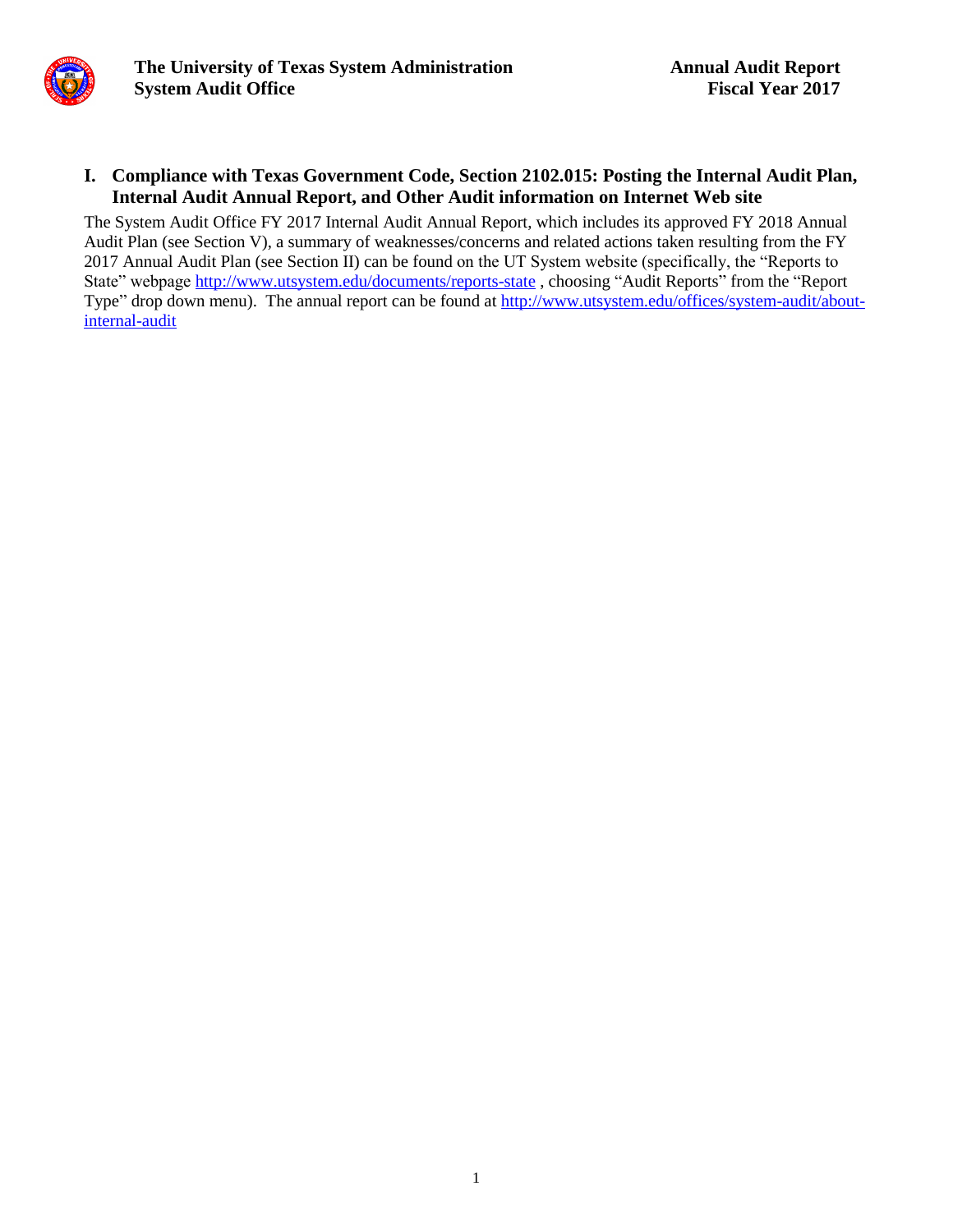

#### **I. Compliance with Texas Government Code, Section 2102.015: Posting the Internal Audit Plan, Internal Audit Annual Report, and Other Audit information on Internet Web site**

The System Audit Office FY 2017 Internal Audit Annual Report, which includes its approved FY 2018 Annual Audit Plan (see Section V), a summary of weaknesses/concerns and related actions taken resulting from the FY 2017 Annual Audit Plan (see Section II) can be found on the UT System website (specifically, the "Reports to State" webpage<http://www.utsystem.edu/documents/reports-state>, choosing "Audit Reports" from the "Report Type" drop down menu). The annual report can be found at [http://www.utsystem.edu/offices/system-audit/about](http://www.utsystem.edu/offices/system-audit/about-internal-audit)[internal-audit](http://www.utsystem.edu/offices/system-audit/about-internal-audit)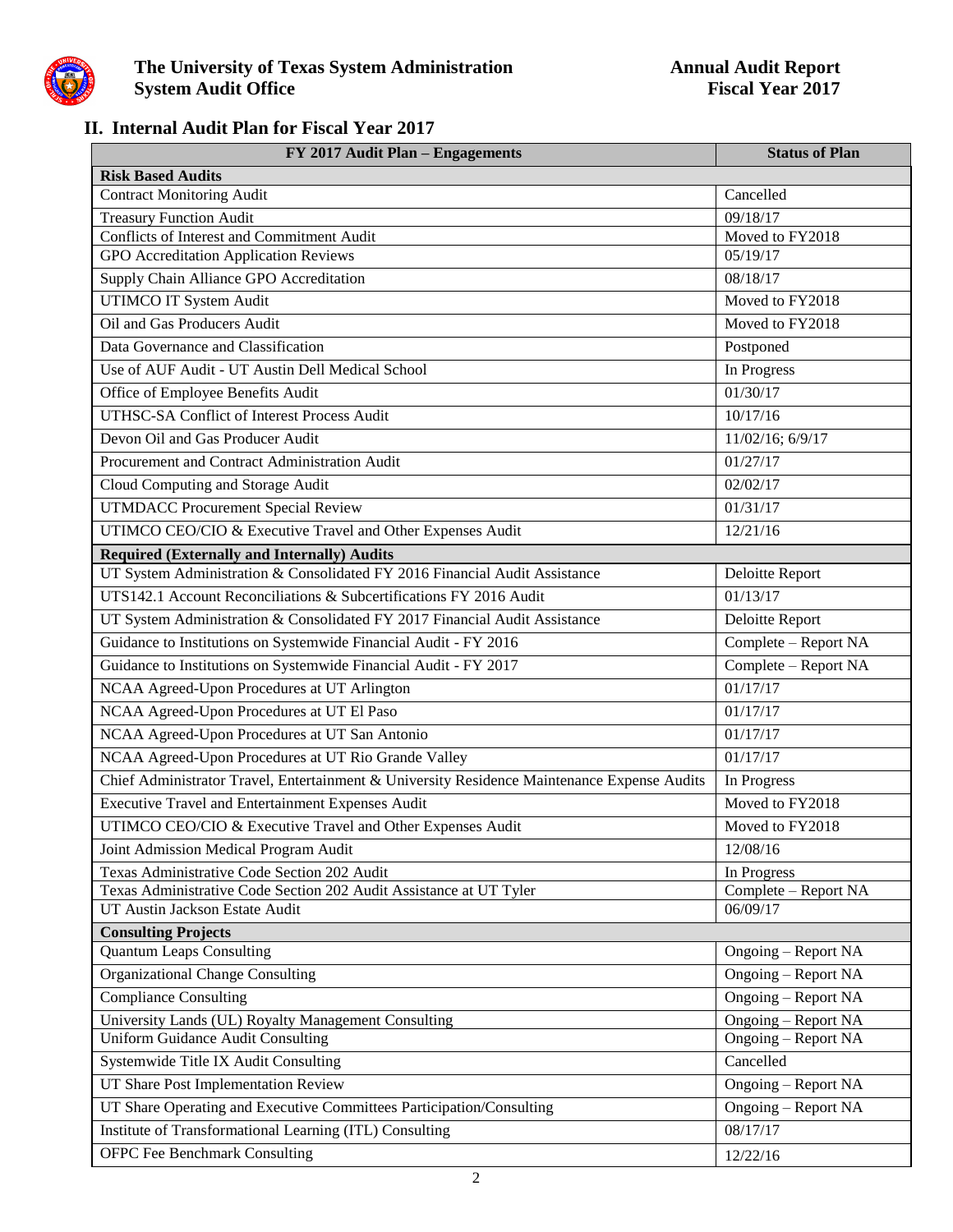

### **II. Internal Audit Plan for Fiscal Year 2017**

| FY 2017 Audit Plan - Engagements                                                            | <b>Status of Plan</b>       |
|---------------------------------------------------------------------------------------------|-----------------------------|
| <b>Risk Based Audits</b>                                                                    |                             |
| <b>Contract Monitoring Audit</b>                                                            | Cancelled                   |
| <b>Treasury Function Audit</b>                                                              | 09/18/17                    |
| Conflicts of Interest and Commitment Audit                                                  | Moved to FY2018<br>05/19/17 |
| <b>GPO</b> Accreditation Application Reviews                                                |                             |
| Supply Chain Alliance GPO Accreditation                                                     | 08/18/17                    |
| <b>UTIMCO IT System Audit</b>                                                               | Moved to FY2018             |
| Oil and Gas Producers Audit                                                                 | Moved to FY2018             |
| Data Governance and Classification                                                          | Postponed                   |
| Use of AUF Audit - UT Austin Dell Medical School                                            | In Progress                 |
| Office of Employee Benefits Audit                                                           | 01/30/17                    |
| UTHSC-SA Conflict of Interest Process Audit                                                 | 10/17/16                    |
| Devon Oil and Gas Producer Audit                                                            | 11/02/16; 6/9/17            |
| Procurement and Contract Administration Audit                                               | 01/27/17                    |
| Cloud Computing and Storage Audit                                                           | 02/02/17                    |
| <b>UTMDACC Procurement Special Review</b>                                                   | 01/31/17                    |
| UTIMCO CEO/CIO & Executive Travel and Other Expenses Audit                                  | 12/21/16                    |
| <b>Required (Externally and Internally) Audits</b>                                          |                             |
| UT System Administration & Consolidated FY 2016 Financial Audit Assistance                  | Deloitte Report             |
| UTS142.1 Account Reconciliations & Subcertifications FY 2016 Audit                          | 01/13/17                    |
| UT System Administration & Consolidated FY 2017 Financial Audit Assistance                  | Deloitte Report             |
| Guidance to Institutions on Systemwide Financial Audit - FY 2016                            | Complete - Report NA        |
| Guidance to Institutions on Systemwide Financial Audit - FY 2017                            | Complete - Report NA        |
| NCAA Agreed-Upon Procedures at UT Arlington                                                 | 01/17/17                    |
| NCAA Agreed-Upon Procedures at UT El Paso                                                   | 01/17/17                    |
| NCAA Agreed-Upon Procedures at UT San Antonio                                               | 01/17/17                    |
| NCAA Agreed-Upon Procedures at UT Rio Grande Valley                                         | 01/17/17                    |
| Chief Administrator Travel, Entertainment & University Residence Maintenance Expense Audits | In Progress                 |
| <b>Executive Travel and Entertainment Expenses Audit</b>                                    | Moved to FY2018             |
| UTIMCO CEO/CIO & Executive Travel and Other Expenses Audit                                  | Moved to FY2018             |
| Joint Admission Medical Program Audit                                                       | 12/08/16                    |
| Texas Administrative Code Section 202 Audit                                                 | In Progress                 |
| Texas Administrative Code Section 202 Audit Assistance at UT Tyler                          | Complete - Report NA        |
| UT Austin Jackson Estate Audit                                                              | 06/09/17                    |
| <b>Consulting Projects</b>                                                                  |                             |
| <b>Quantum Leaps Consulting</b>                                                             | Ongoing – Report NA         |
| <b>Organizational Change Consulting</b>                                                     | Ongoing – Report NA         |
| <b>Compliance Consulting</b>                                                                | Ongoing – Report NA         |
| University Lands (UL) Royalty Management Consulting                                         | Ongoing - Report NA         |
| <b>Uniform Guidance Audit Consulting</b>                                                    | Ongoing – Report NA         |
| Systemwide Title IX Audit Consulting                                                        | Cancelled                   |
| UT Share Post Implementation Review                                                         | Ongoing – Report NA         |
| UT Share Operating and Executive Committees Participation/Consulting                        | Ongoing – Report NA         |
| <b>Institute of Transformational Learning (ITL) Consulting</b>                              | 08/17/17                    |
| <b>OFPC Fee Benchmark Consulting</b>                                                        | 12/22/16                    |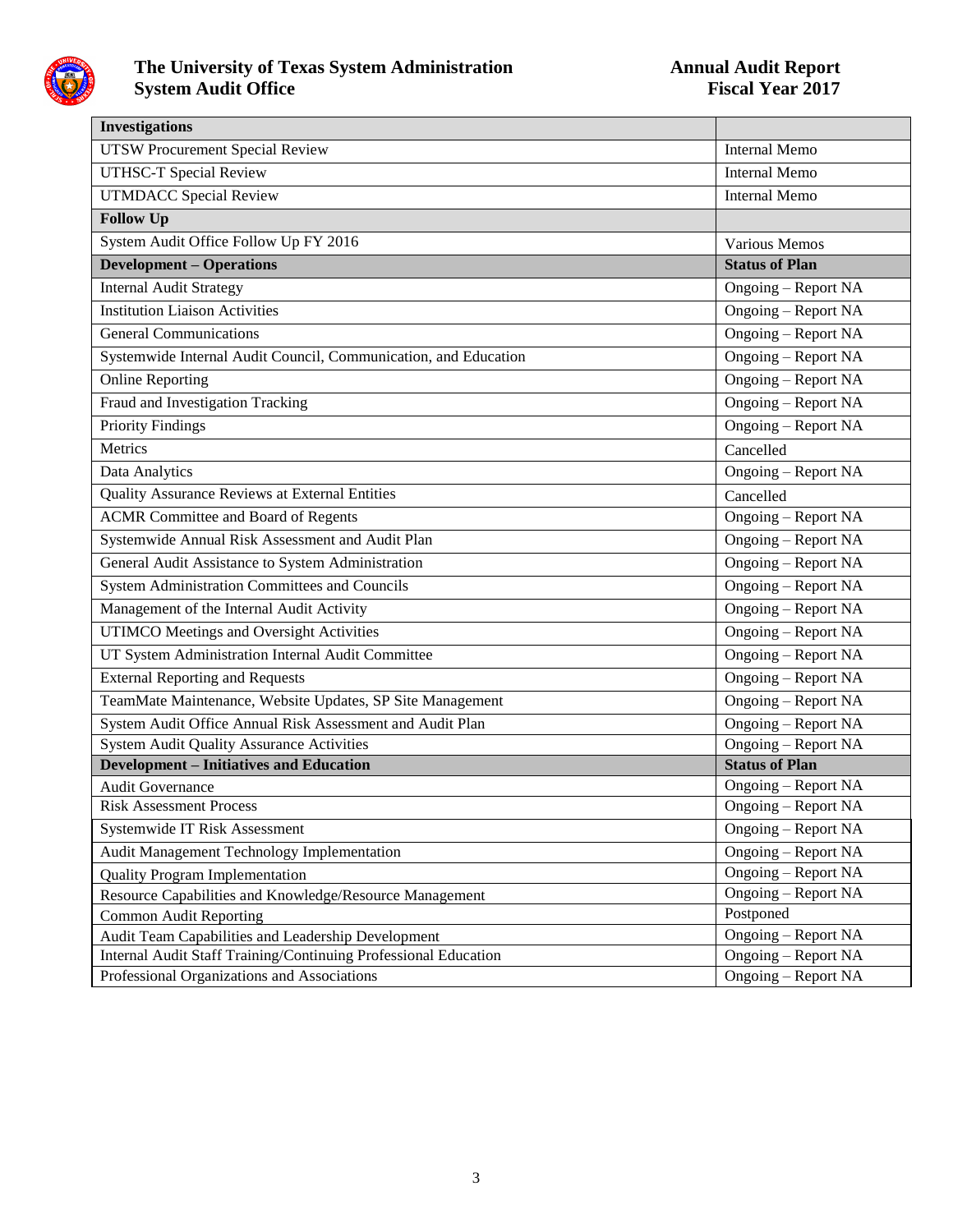

| <b>Investigations</b>                                           |                       |
|-----------------------------------------------------------------|-----------------------|
| <b>UTSW Procurement Special Review</b>                          | <b>Internal Memo</b>  |
| <b>UTHSC-T Special Review</b>                                   | <b>Internal Memo</b>  |
| <b>UTMDACC Special Review</b>                                   | Internal Memo         |
| <b>Follow Up</b>                                                |                       |
| System Audit Office Follow Up FY 2016                           | Various Memos         |
| <b>Development - Operations</b>                                 | <b>Status of Plan</b> |
| <b>Internal Audit Strategy</b>                                  | Ongoing - Report NA   |
| <b>Institution Liaison Activities</b>                           | Ongoing - Report NA   |
| <b>General Communications</b>                                   | Ongoing - Report NA   |
| Systemwide Internal Audit Council, Communication, and Education | Ongoing - Report NA   |
| Online Reporting                                                | Ongoing - Report NA   |
| Fraud and Investigation Tracking                                | Ongoing - Report NA   |
| <b>Priority Findings</b>                                        | Ongoing – Report NA   |
| Metrics                                                         | Cancelled             |
| Data Analytics                                                  | Ongoing - Report NA   |
| Quality Assurance Reviews at External Entities                  | Cancelled             |
| <b>ACMR</b> Committee and Board of Regents                      | Ongoing - Report NA   |
| Systemwide Annual Risk Assessment and Audit Plan                | Ongoing - Report NA   |
| General Audit Assistance to System Administration               | Ongoing – Report NA   |
| <b>System Administration Committees and Councils</b>            | Ongoing - Report NA   |
| Management of the Internal Audit Activity                       | Ongoing - Report NA   |
| <b>UTIMCO Meetings and Oversight Activities</b>                 | Ongoing - Report NA   |
| UT System Administration Internal Audit Committee               | Ongoing – Report NA   |
| <b>External Reporting and Requests</b>                          | Ongoing - Report NA   |
| TeamMate Maintenance, Website Updates, SP Site Management       | Ongoing – Report NA   |
| System Audit Office Annual Risk Assessment and Audit Plan       | Ongoing – Report NA   |
| <b>System Audit Quality Assurance Activities</b>                | Ongoing – Report NA   |
| <b>Development - Initiatives and Education</b>                  | <b>Status of Plan</b> |
| <b>Audit Governance</b>                                         | Ongoing - Report NA   |
| <b>Risk Assessment Process</b>                                  | Ongoing - Report NA   |
| Systemwide IT Risk Assessment                                   | Ongoing – Report NA   |
| Audit Management Technology Implementation                      | Ongoing - Report NA   |
| <b>Quality Program Implementation</b>                           | Ongoing - Report NA   |
| Resource Capabilities and Knowledge/Resource Management         | Ongoing – Report NA   |
| <b>Common Audit Reporting</b>                                   | Postponed             |
| Audit Team Capabilities and Leadership Development              | Ongoing - Report NA   |
| Internal Audit Staff Training/Continuing Professional Education | Ongoing – Report NA   |
| Professional Organizations and Associations                     | Ongoing - Report NA   |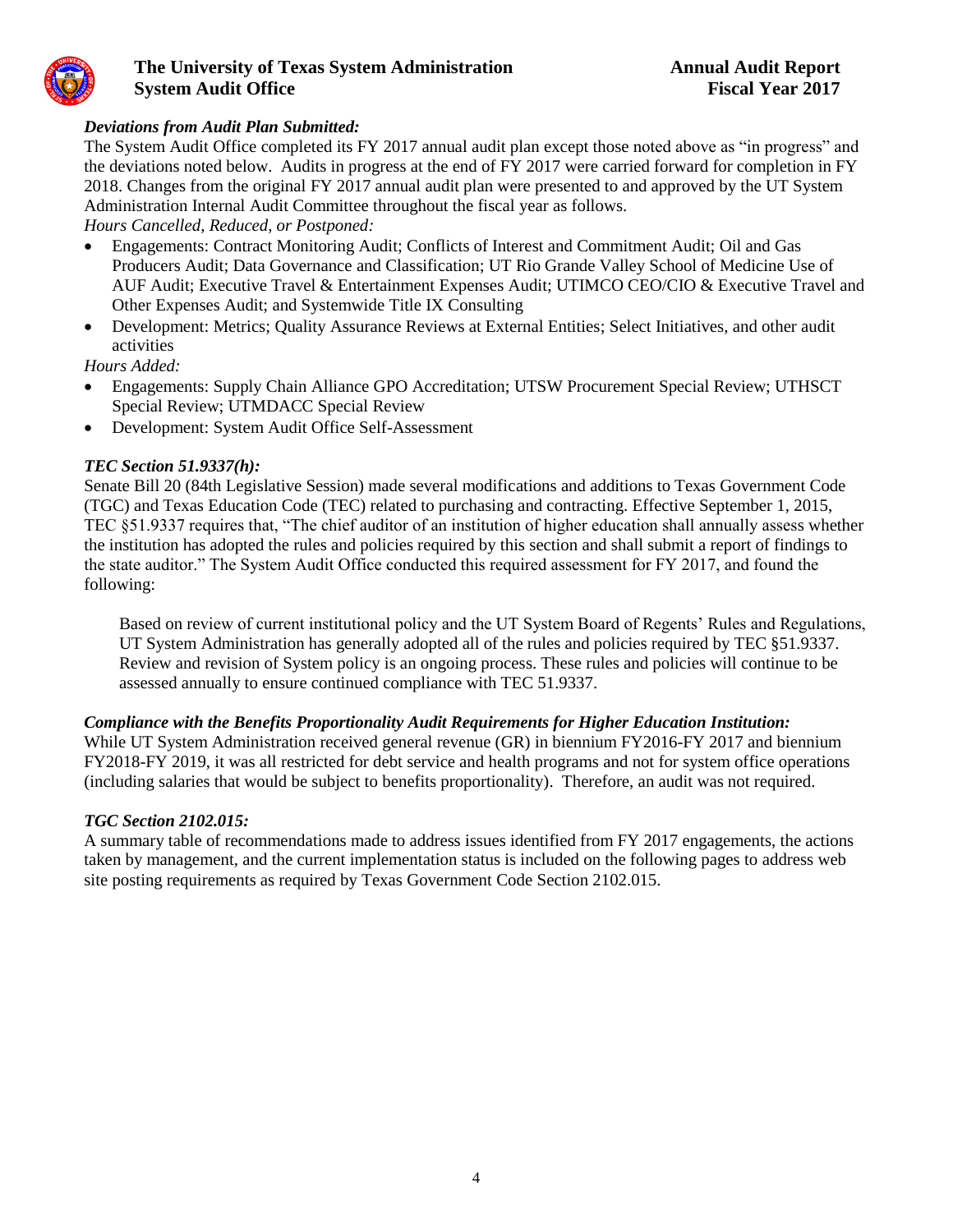

#### *Deviations from Audit Plan Submitted:*

The System Audit Office completed its FY 2017 annual audit plan except those noted above as "in progress" and the deviations noted below. Audits in progress at the end of FY 2017 were carried forward for completion in FY 2018. Changes from the original FY 2017 annual audit plan were presented to and approved by the UT System Administration Internal Audit Committee throughout the fiscal year as follows.

*Hours Cancelled, Reduced, or Postponed:*

- Engagements: Contract Monitoring Audit; Conflicts of Interest and Commitment Audit; Oil and Gas Producers Audit; Data Governance and Classification; UT Rio Grande Valley School of Medicine Use of AUF Audit; Executive Travel & Entertainment Expenses Audit; UTIMCO CEO/CIO & Executive Travel and Other Expenses Audit; and Systemwide Title IX Consulting
- Development: Metrics; Quality Assurance Reviews at External Entities; Select Initiatives, and other audit activities

*Hours Added:*

- Engagements: Supply Chain Alliance GPO Accreditation; UTSW Procurement Special Review; UTHSCT Special Review; UTMDACC Special Review
- Development: System Audit Office Self-Assessment

#### *TEC Section 51.9337(h):*

Senate Bill 20 (84th Legislative Session) made several modifications and additions to Texas Government Code (TGC) and Texas Education Code (TEC) related to purchasing and contracting. Effective September 1, 2015, TEC §51.9337 requires that, "The chief auditor of an institution of higher education shall annually assess whether the institution has adopted the rules and policies required by this section and shall submit a report of findings to the state auditor." The System Audit Office conducted this required assessment for FY 2017, and found the following:

Based on review of current institutional policy and the UT System Board of Regents' Rules and Regulations, UT System Administration has generally adopted all of the rules and policies required by TEC §51.9337. Review and revision of System policy is an ongoing process. These rules and policies will continue to be assessed annually to ensure continued compliance with TEC 51.9337.

#### *Compliance with the Benefits Proportionality Audit Requirements for Higher Education Institution:*

While UT System Administration received general revenue (GR) in biennium FY2016-FY 2017 and biennium FY2018-FY 2019, it was all restricted for debt service and health programs and not for system office operations (including salaries that would be subject to benefits proportionality). Therefore, an audit was not required.

#### *TGC Section 2102.015:*

A summary table of recommendations made to address issues identified from FY 2017 engagements, the actions taken by management, and the current implementation status is included on the following pages to address web site posting requirements as required by Texas Government Code Section 2102.015.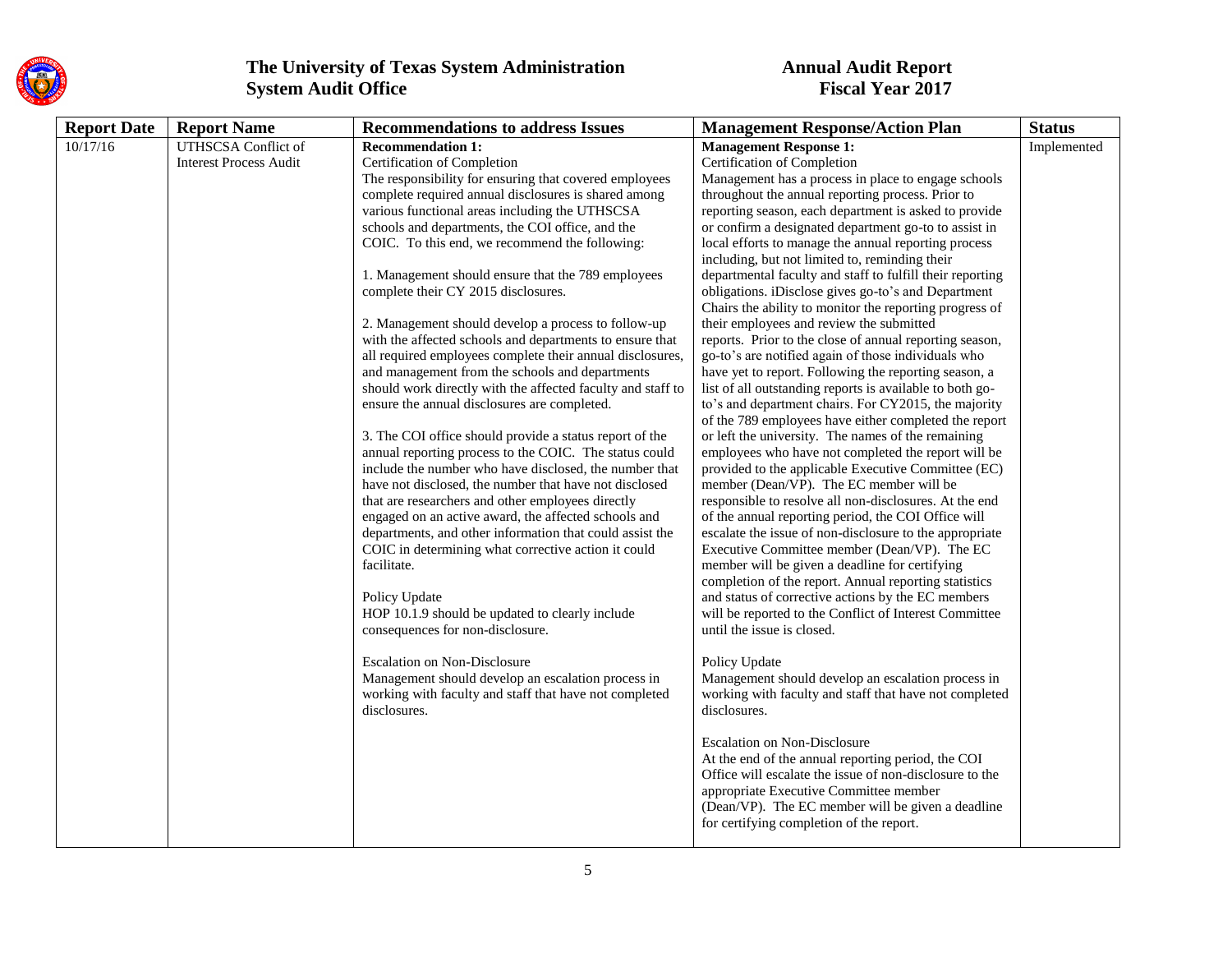

| <b>Report Date</b> | <b>Report Name</b>            | <b>Recommendations to address Issues</b>                    | <b>Management Response/Action Plan</b>                    | <b>Status</b> |
|--------------------|-------------------------------|-------------------------------------------------------------|-----------------------------------------------------------|---------------|
| 10/17/16           | <b>UTHSCSA</b> Conflict of    | <b>Recommendation 1:</b>                                    | <b>Management Response 1:</b>                             | Implemented   |
|                    | <b>Interest Process Audit</b> | Certification of Completion                                 | Certification of Completion                               |               |
|                    |                               | The responsibility for ensuring that covered employees      | Management has a process in place to engage schools       |               |
|                    |                               | complete required annual disclosures is shared among        | throughout the annual reporting process. Prior to         |               |
|                    |                               | various functional areas including the UTHSCSA              | reporting season, each department is asked to provide     |               |
|                    |                               | schools and departments, the COI office, and the            | or confirm a designated department go-to to assist in     |               |
|                    |                               | COIC. To this end, we recommend the following:              | local efforts to manage the annual reporting process      |               |
|                    |                               |                                                             | including, but not limited to, reminding their            |               |
|                    |                               | 1. Management should ensure that the 789 employees          | departmental faculty and staff to fulfill their reporting |               |
|                    |                               | complete their CY 2015 disclosures.                         | obligations. iDisclose gives go-to's and Department       |               |
|                    |                               |                                                             | Chairs the ability to monitor the reporting progress of   |               |
|                    |                               | 2. Management should develop a process to follow-up         | their employees and review the submitted                  |               |
|                    |                               | with the affected schools and departments to ensure that    | reports. Prior to the close of annual reporting season,   |               |
|                    |                               | all required employees complete their annual disclosures,   | go-to's are notified again of those individuals who       |               |
|                    |                               | and management from the schools and departments             | have yet to report. Following the reporting season, a     |               |
|                    |                               | should work directly with the affected faculty and staff to | list of all outstanding reports is available to both go-  |               |
|                    |                               | ensure the annual disclosures are completed.                | to's and department chairs. For CY2015, the majority      |               |
|                    |                               |                                                             | of the 789 employees have either completed the report     |               |
|                    |                               | 3. The COI office should provide a status report of the     | or left the university. The names of the remaining        |               |
|                    |                               | annual reporting process to the COIC. The status could      | employees who have not completed the report will be       |               |
|                    |                               | include the number who have disclosed, the number that      | provided to the applicable Executive Committee (EC)       |               |
|                    |                               | have not disclosed, the number that have not disclosed      | member (Dean/VP). The EC member will be                   |               |
|                    |                               | that are researchers and other employees directly           | responsible to resolve all non-disclosures. At the end    |               |
|                    |                               | engaged on an active award, the affected schools and        | of the annual reporting period, the COI Office will       |               |
|                    |                               | departments, and other information that could assist the    | escalate the issue of non-disclosure to the appropriate   |               |
|                    |                               | COIC in determining what corrective action it could         | Executive Committee member (Dean/VP). The EC              |               |
|                    |                               | facilitate.                                                 | member will be given a deadline for certifying            |               |
|                    |                               |                                                             | completion of the report. Annual reporting statistics     |               |
|                    |                               | Policy Update                                               | and status of corrective actions by the EC members        |               |
|                    |                               | HOP 10.1.9 should be updated to clearly include             | will be reported to the Conflict of Interest Committee    |               |
|                    |                               | consequences for non-disclosure.                            | until the issue is closed.                                |               |
|                    |                               |                                                             |                                                           |               |
|                    |                               | <b>Escalation on Non-Disclosure</b>                         | Policy Update                                             |               |
|                    |                               | Management should develop an escalation process in          | Management should develop an escalation process in        |               |
|                    |                               | working with faculty and staff that have not completed      | working with faculty and staff that have not completed    |               |
|                    |                               | disclosures.                                                | disclosures.                                              |               |
|                    |                               |                                                             | <b>Escalation on Non-Disclosure</b>                       |               |
|                    |                               |                                                             | At the end of the annual reporting period, the COI        |               |
|                    |                               |                                                             | Office will escalate the issue of non-disclosure to the   |               |
|                    |                               |                                                             | appropriate Executive Committee member                    |               |
|                    |                               |                                                             | (Dean/VP). The EC member will be given a deadline         |               |
|                    |                               |                                                             | for certifying completion of the report.                  |               |
|                    |                               |                                                             |                                                           |               |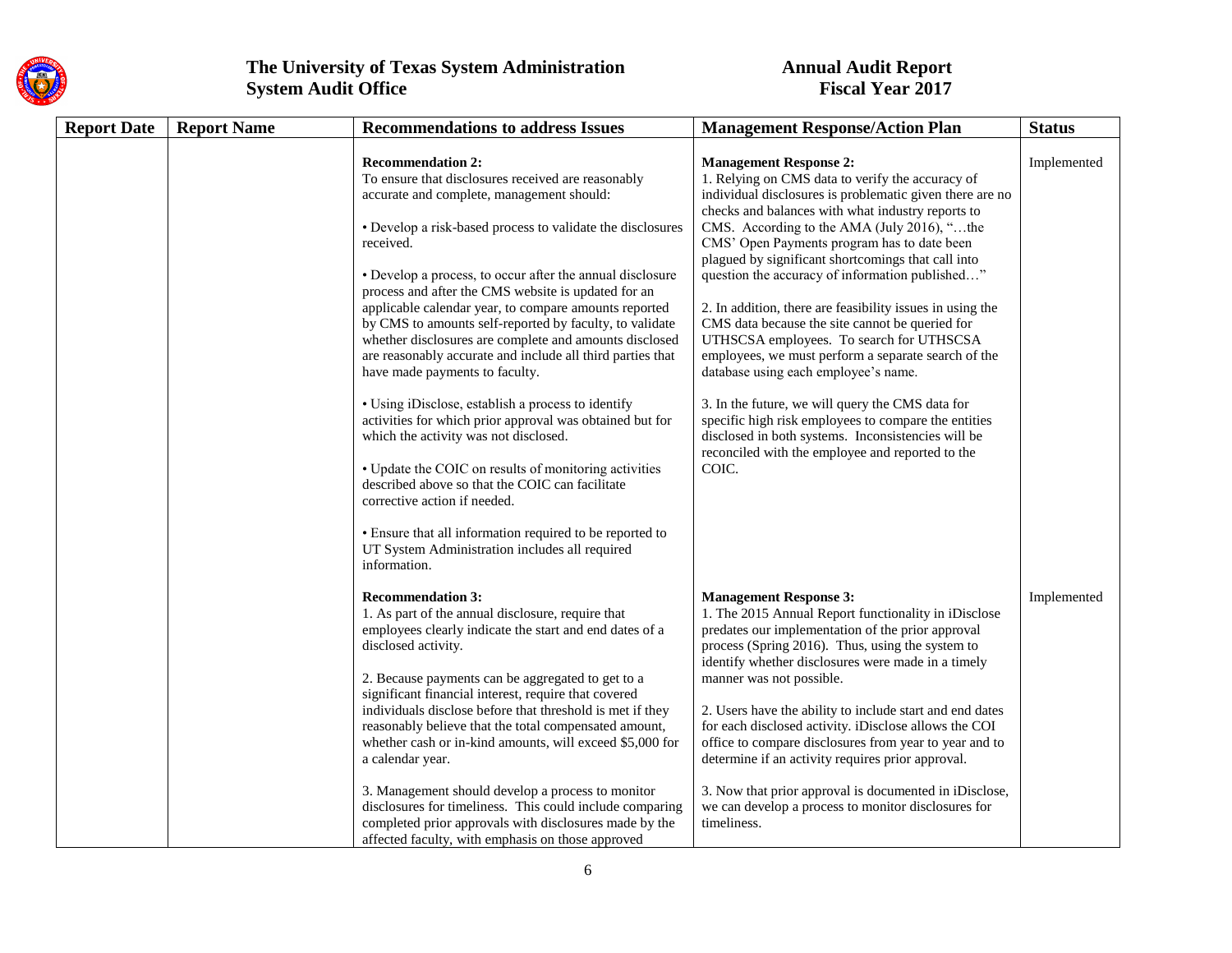

| <b>Report Date</b> | <b>Report Name</b> | <b>Recommendations to address Issues</b>                                                                                                                                                                                                                                                                                                                                                                                                                                                                                                                                                                                                                                                                                                                                                                                                                                                                                                                                                                                                      | <b>Management Response/Action Plan</b>                                                                                                                                                                                                                                                                                                                                                                                                                                                                                                                                                                                                                                                                                                                                                                                                                                                              | <b>Status</b> |
|--------------------|--------------------|-----------------------------------------------------------------------------------------------------------------------------------------------------------------------------------------------------------------------------------------------------------------------------------------------------------------------------------------------------------------------------------------------------------------------------------------------------------------------------------------------------------------------------------------------------------------------------------------------------------------------------------------------------------------------------------------------------------------------------------------------------------------------------------------------------------------------------------------------------------------------------------------------------------------------------------------------------------------------------------------------------------------------------------------------|-----------------------------------------------------------------------------------------------------------------------------------------------------------------------------------------------------------------------------------------------------------------------------------------------------------------------------------------------------------------------------------------------------------------------------------------------------------------------------------------------------------------------------------------------------------------------------------------------------------------------------------------------------------------------------------------------------------------------------------------------------------------------------------------------------------------------------------------------------------------------------------------------------|---------------|
|                    |                    | <b>Recommendation 2:</b><br>To ensure that disclosures received are reasonably<br>accurate and complete, management should:<br>• Develop a risk-based process to validate the disclosures<br>received.<br>• Develop a process, to occur after the annual disclosure<br>process and after the CMS website is updated for an<br>applicable calendar year, to compare amounts reported<br>by CMS to amounts self-reported by faculty, to validate<br>whether disclosures are complete and amounts disclosed<br>are reasonably accurate and include all third parties that<br>have made payments to faculty.<br>• Using iDisclose, establish a process to identify<br>activities for which prior approval was obtained but for<br>which the activity was not disclosed.<br>• Update the COIC on results of monitoring activities<br>described above so that the COIC can facilitate<br>corrective action if needed.<br>• Ensure that all information required to be reported to<br>UT System Administration includes all required<br>information. | <b>Management Response 2:</b><br>1. Relying on CMS data to verify the accuracy of<br>individual disclosures is problematic given there are no<br>checks and balances with what industry reports to<br>CMS. According to the AMA (July 2016), "the<br>CMS' Open Payments program has to date been<br>plagued by significant shortcomings that call into<br>question the accuracy of information published"<br>2. In addition, there are feasibility issues in using the<br>CMS data because the site cannot be queried for<br>UTHSCSA employees. To search for UTHSCSA<br>employees, we must perform a separate search of the<br>database using each employee's name.<br>3. In the future, we will query the CMS data for<br>specific high risk employees to compare the entities<br>disclosed in both systems. Inconsistencies will be<br>reconciled with the employee and reported to the<br>COIC. | Implemented   |
|                    |                    | <b>Recommendation 3:</b><br>1. As part of the annual disclosure, require that<br>employees clearly indicate the start and end dates of a<br>disclosed activity.<br>2. Because payments can be aggregated to get to a<br>significant financial interest, require that covered<br>individuals disclose before that threshold is met if they<br>reasonably believe that the total compensated amount,<br>whether cash or in-kind amounts, will exceed \$5,000 for<br>a calendar year.<br>3. Management should develop a process to monitor<br>disclosures for timeliness. This could include comparing<br>completed prior approvals with disclosures made by the<br>affected faculty, with emphasis on those approved                                                                                                                                                                                                                                                                                                                            | <b>Management Response 3:</b><br>1. The 2015 Annual Report functionality in iDisclose<br>predates our implementation of the prior approval<br>process (Spring 2016). Thus, using the system to<br>identify whether disclosures were made in a timely<br>manner was not possible.<br>2. Users have the ability to include start and end dates<br>for each disclosed activity. iDisclose allows the COI<br>office to compare disclosures from year to year and to<br>determine if an activity requires prior approval.<br>3. Now that prior approval is documented in iDisclose,<br>we can develop a process to monitor disclosures for<br>timeliness.                                                                                                                                                                                                                                                | Implemented   |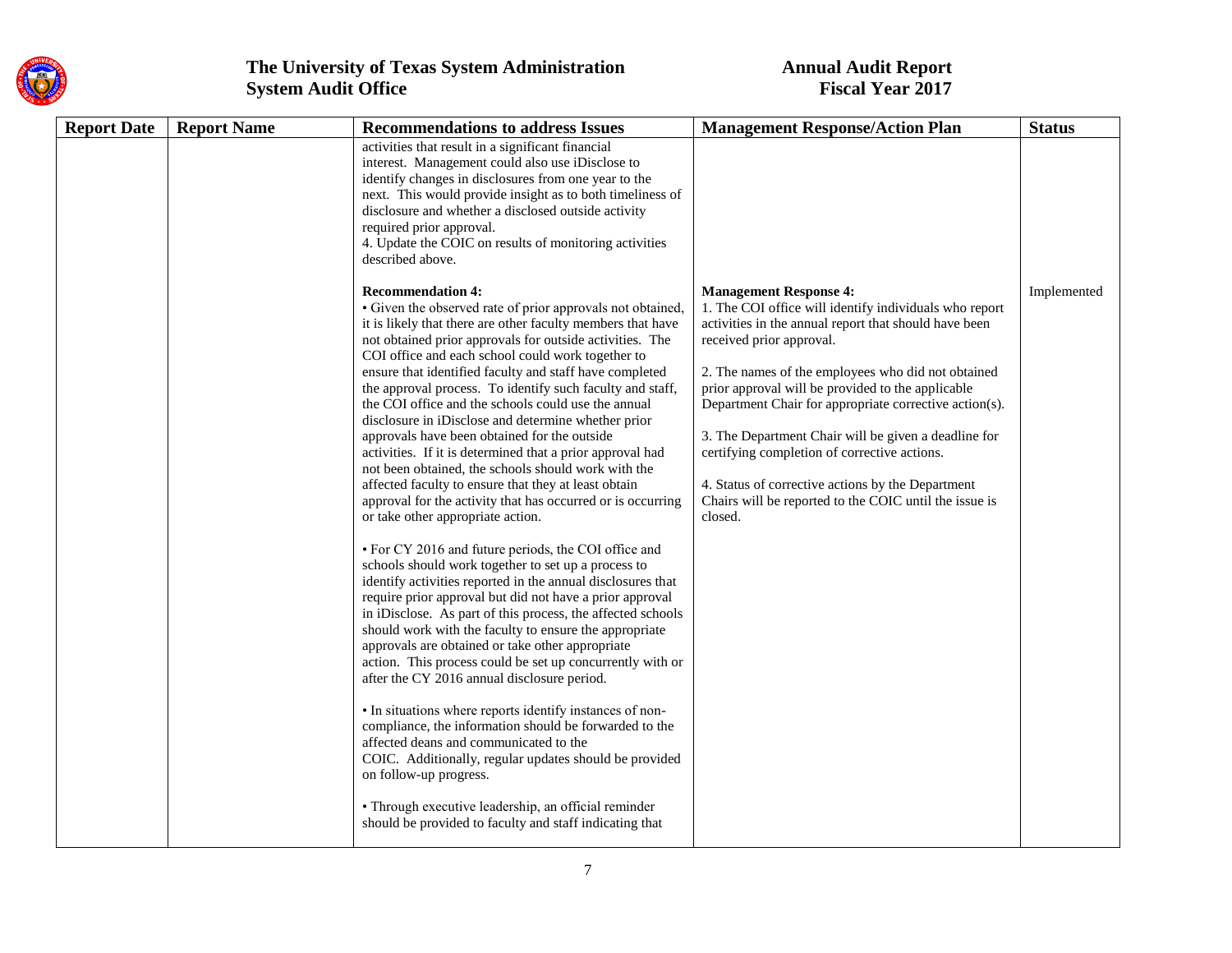

| <b>Report Date</b><br><b>Report Name</b> | <b>Recommendations to address Issues</b>                                                                                                                                                                                                                                                                                                                                                                                                                                                                                                                                                                                                                                                                                                                                                                                                                                                                                                                                                                                                                                                                                                                                                                                                                                                                                                                                                                                                                                                                                                                                                                                                                                                                                                               | <b>Management Response/Action Plan</b>                                                                                                                                                                                                                                                                                                                                                                                                                                                                                                                                              | <b>Status</b> |
|------------------------------------------|--------------------------------------------------------------------------------------------------------------------------------------------------------------------------------------------------------------------------------------------------------------------------------------------------------------------------------------------------------------------------------------------------------------------------------------------------------------------------------------------------------------------------------------------------------------------------------------------------------------------------------------------------------------------------------------------------------------------------------------------------------------------------------------------------------------------------------------------------------------------------------------------------------------------------------------------------------------------------------------------------------------------------------------------------------------------------------------------------------------------------------------------------------------------------------------------------------------------------------------------------------------------------------------------------------------------------------------------------------------------------------------------------------------------------------------------------------------------------------------------------------------------------------------------------------------------------------------------------------------------------------------------------------------------------------------------------------------------------------------------------------|-------------------------------------------------------------------------------------------------------------------------------------------------------------------------------------------------------------------------------------------------------------------------------------------------------------------------------------------------------------------------------------------------------------------------------------------------------------------------------------------------------------------------------------------------------------------------------------|---------------|
|                                          | activities that result in a significant financial<br>interest. Management could also use iDisclose to<br>identify changes in disclosures from one year to the<br>next. This would provide insight as to both timeliness of<br>disclosure and whether a disclosed outside activity<br>required prior approval.<br>4. Update the COIC on results of monitoring activities<br>described above.                                                                                                                                                                                                                                                                                                                                                                                                                                                                                                                                                                                                                                                                                                                                                                                                                                                                                                                                                                                                                                                                                                                                                                                                                                                                                                                                                            |                                                                                                                                                                                                                                                                                                                                                                                                                                                                                                                                                                                     |               |
|                                          | <b>Recommendation 4:</b><br>• Given the observed rate of prior approvals not obtained,<br>it is likely that there are other faculty members that have<br>not obtained prior approvals for outside activities. The<br>COI office and each school could work together to<br>ensure that identified faculty and staff have completed<br>the approval process. To identify such faculty and staff,<br>the COI office and the schools could use the annual<br>disclosure in iDisclose and determine whether prior<br>approvals have been obtained for the outside<br>activities. If it is determined that a prior approval had<br>not been obtained, the schools should work with the<br>affected faculty to ensure that they at least obtain<br>approval for the activity that has occurred or is occurring<br>or take other appropriate action.<br>• For CY 2016 and future periods, the COI office and<br>schools should work together to set up a process to<br>identify activities reported in the annual disclosures that<br>require prior approval but did not have a prior approval<br>in iDisclose. As part of this process, the affected schools<br>should work with the faculty to ensure the appropriate<br>approvals are obtained or take other appropriate<br>action. This process could be set up concurrently with or<br>after the CY 2016 annual disclosure period.<br>• In situations where reports identify instances of non-<br>compliance, the information should be forwarded to the<br>affected deans and communicated to the<br>COIC. Additionally, regular updates should be provided<br>on follow-up progress.<br>• Through executive leadership, an official reminder<br>should be provided to faculty and staff indicating that | <b>Management Response 4:</b><br>1. The COI office will identify individuals who report<br>activities in the annual report that should have been<br>received prior approval.<br>2. The names of the employees who did not obtained<br>prior approval will be provided to the applicable<br>Department Chair for appropriate corrective action(s).<br>3. The Department Chair will be given a deadline for<br>certifying completion of corrective actions.<br>4. Status of corrective actions by the Department<br>Chairs will be reported to the COIC until the issue is<br>closed. | Implemented   |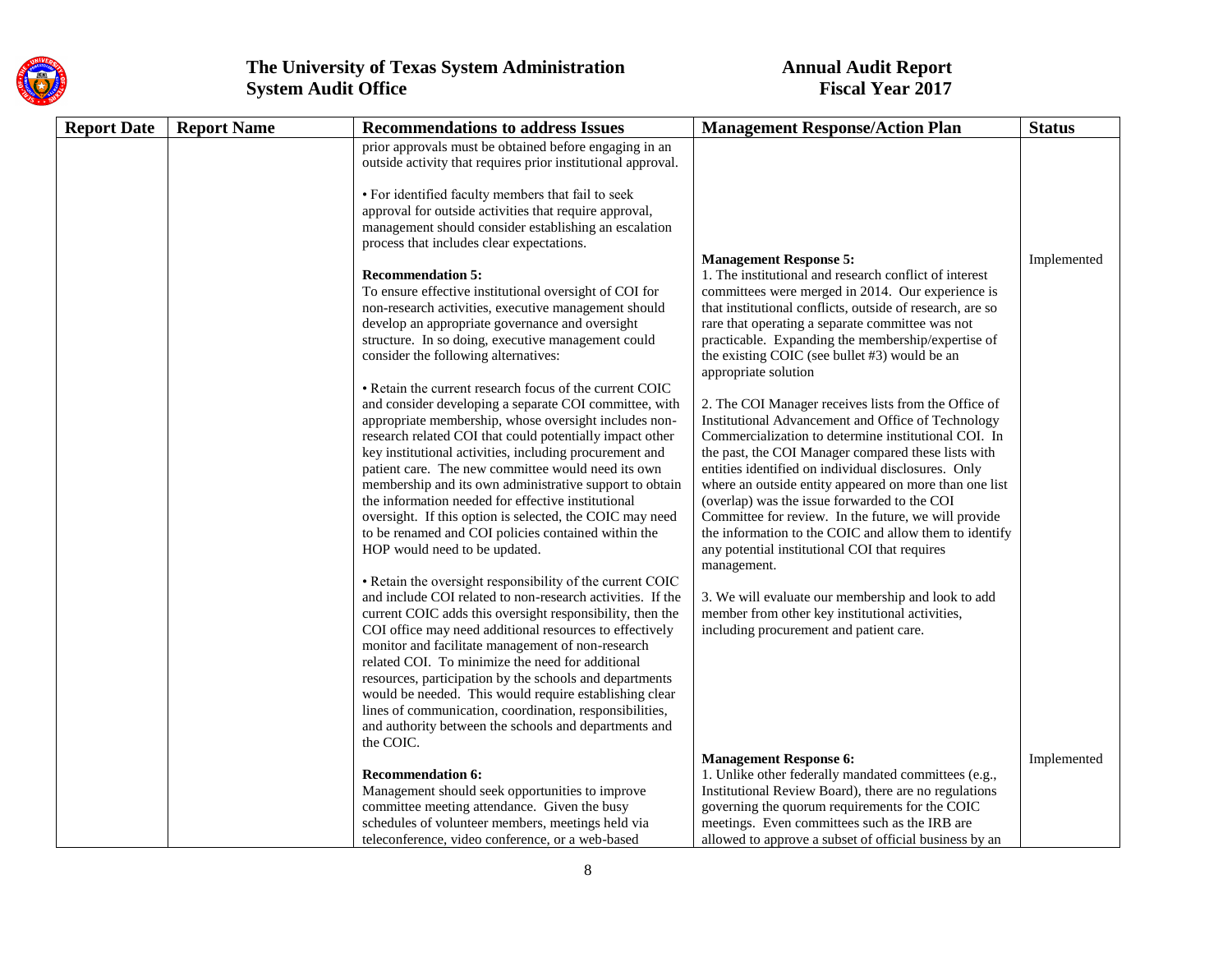

| <b>Report Date</b> | <b>Report Name</b> | <b>Recommendations to address Issues</b>                     | <b>Management Response/Action Plan</b>                    | <b>Status</b> |
|--------------------|--------------------|--------------------------------------------------------------|-----------------------------------------------------------|---------------|
|                    |                    | prior approvals must be obtained before engaging in an       |                                                           |               |
|                    |                    | outside activity that requires prior institutional approval. |                                                           |               |
|                    |                    | • For identified faculty members that fail to seek           |                                                           |               |
|                    |                    | approval for outside activities that require approval,       |                                                           |               |
|                    |                    | management should consider establishing an escalation        |                                                           |               |
|                    |                    | process that includes clear expectations.                    |                                                           |               |
|                    |                    |                                                              | <b>Management Response 5:</b>                             | Implemented   |
|                    |                    | <b>Recommendation 5:</b>                                     | 1. The institutional and research conflict of interest    |               |
|                    |                    | To ensure effective institutional oversight of COI for       | committees were merged in 2014. Our experience is         |               |
|                    |                    | non-research activities, executive management should         | that institutional conflicts, outside of research, are so |               |
|                    |                    | develop an appropriate governance and oversight              | rare that operating a separate committee was not          |               |
|                    |                    | structure. In so doing, executive management could           | practicable. Expanding the membership/expertise of        |               |
|                    |                    | consider the following alternatives:                         | the existing COIC (see bullet #3) would be an             |               |
|                    |                    | • Retain the current research focus of the current COIC      | appropriate solution                                      |               |
|                    |                    | and consider developing a separate COI committee, with       | 2. The COI Manager receives lists from the Office of      |               |
|                    |                    | appropriate membership, whose oversight includes non-        | Institutional Advancement and Office of Technology        |               |
|                    |                    | research related COI that could potentially impact other     | Commercialization to determine institutional COI. In      |               |
|                    |                    | key institutional activities, including procurement and      | the past, the COI Manager compared these lists with       |               |
|                    |                    | patient care. The new committee would need its own           | entities identified on individual disclosures. Only       |               |
|                    |                    | membership and its own administrative support to obtain      | where an outside entity appeared on more than one list    |               |
|                    |                    | the information needed for effective institutional           | (overlap) was the issue forwarded to the COI              |               |
|                    |                    | oversight. If this option is selected, the COIC may need     | Committee for review. In the future, we will provide      |               |
|                    |                    | to be renamed and COI policies contained within the          | the information to the COIC and allow them to identify    |               |
|                    |                    | HOP would need to be updated.                                | any potential institutional COI that requires             |               |
|                    |                    | • Retain the oversight responsibility of the current COIC    | management.                                               |               |
|                    |                    | and include COI related to non-research activities. If the   | 3. We will evaluate our membership and look to add        |               |
|                    |                    | current COIC adds this oversight responsibility, then the    | member from other key institutional activities,           |               |
|                    |                    | COI office may need additional resources to effectively      | including procurement and patient care.                   |               |
|                    |                    | monitor and facilitate management of non-research            |                                                           |               |
|                    |                    | related COI. To minimize the need for additional             |                                                           |               |
|                    |                    | resources, participation by the schools and departments      |                                                           |               |
|                    |                    | would be needed. This would require establishing clear       |                                                           |               |
|                    |                    | lines of communication, coordination, responsibilities,      |                                                           |               |
|                    |                    | and authority between the schools and departments and        |                                                           |               |
|                    |                    | the COIC.                                                    | <b>Management Response 6:</b>                             | Implemented   |
|                    |                    | <b>Recommendation 6:</b>                                     | 1. Unlike other federally mandated committees (e.g.,      |               |
|                    |                    | Management should seek opportunities to improve              | Institutional Review Board), there are no regulations     |               |
|                    |                    | committee meeting attendance. Given the busy                 | governing the quorum requirements for the COIC            |               |
|                    |                    | schedules of volunteer members, meetings held via            | meetings. Even committees such as the IRB are             |               |
|                    |                    | teleconference, video conference, or a web-based             | allowed to approve a subset of official business by an    |               |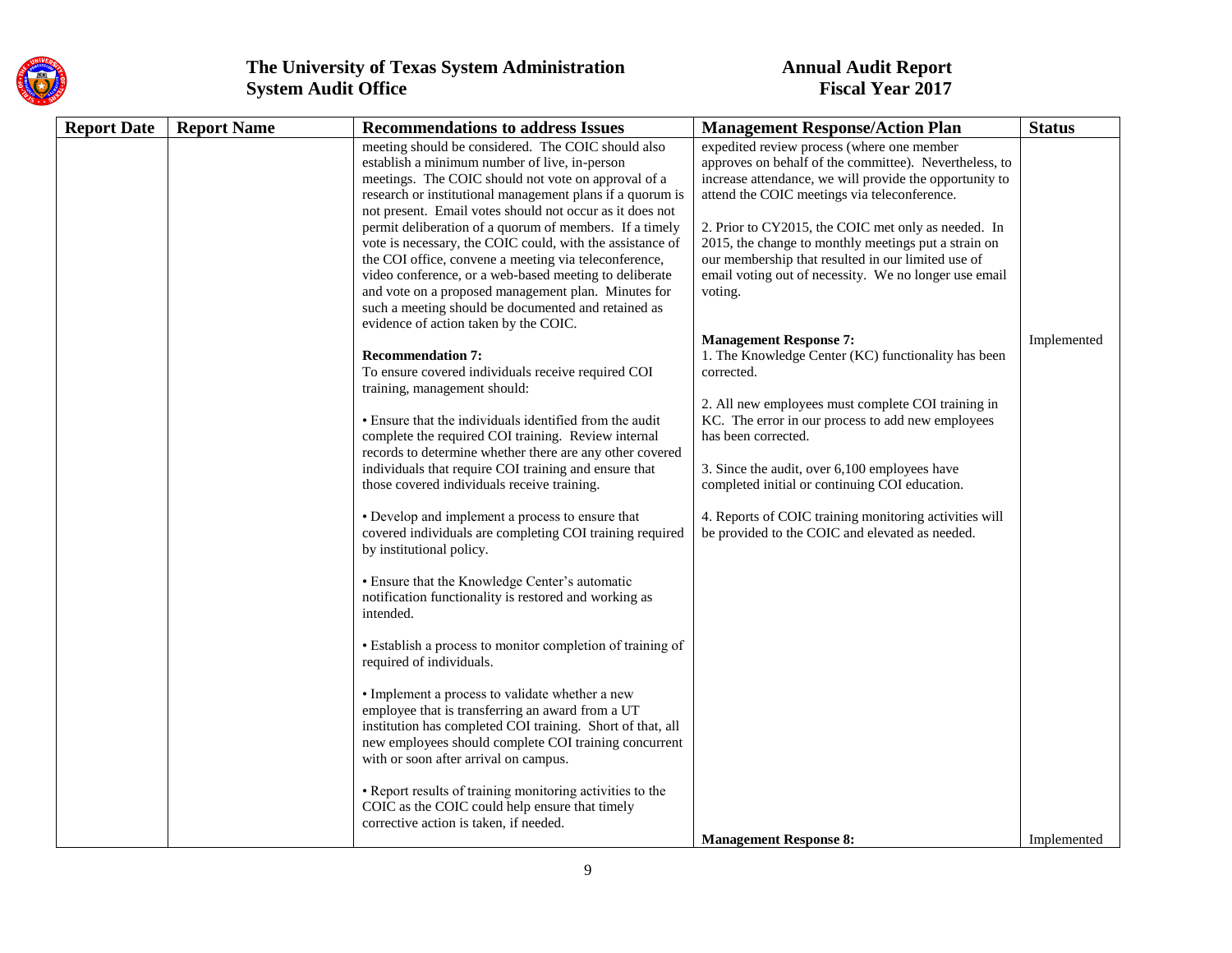

| <b>Report Date</b> | <b>Report Name</b> | <b>Recommendations to address Issues</b>                           | <b>Management Response/Action Plan</b>                  | <b>Status</b> |
|--------------------|--------------------|--------------------------------------------------------------------|---------------------------------------------------------|---------------|
|                    |                    | meeting should be considered. The COIC should also                 | expedited review process (where one member              |               |
|                    |                    | establish a minimum number of live, in-person                      | approves on behalf of the committee). Nevertheless, to  |               |
|                    |                    | meetings. The COIC should not vote on approval of a                | increase attendance, we will provide the opportunity to |               |
|                    |                    | research or institutional management plans if a quorum is          | attend the COIC meetings via teleconference.            |               |
|                    |                    | not present. Email votes should not occur as it does not           |                                                         |               |
|                    |                    | permit deliberation of a quorum of members. If a timely            | 2. Prior to CY2015, the COIC met only as needed. In     |               |
|                    |                    | vote is necessary, the COIC could, with the assistance of          | 2015, the change to monthly meetings put a strain on    |               |
|                    |                    | the COI office, convene a meeting via teleconference,              | our membership that resulted in our limited use of      |               |
|                    |                    | video conference, or a web-based meeting to deliberate             | email voting out of necessity. We no longer use email   |               |
|                    |                    | and vote on a proposed management plan. Minutes for                | voting.                                                 |               |
|                    |                    | such a meeting should be documented and retained as                |                                                         |               |
|                    |                    | evidence of action taken by the COIC.                              | <b>Management Response 7:</b>                           | Implemented   |
|                    |                    | <b>Recommendation 7:</b>                                           | 1. The Knowledge Center (KC) functionality has been     |               |
|                    |                    | To ensure covered individuals receive required COI                 | corrected.                                              |               |
|                    |                    | training, management should:                                       |                                                         |               |
|                    |                    |                                                                    | 2. All new employees must complete COI training in      |               |
|                    |                    | • Ensure that the individuals identified from the audit            | KC. The error in our process to add new employees       |               |
|                    |                    | complete the required COI training. Review internal                | has been corrected.                                     |               |
|                    |                    | records to determine whether there are any other covered           |                                                         |               |
|                    |                    | individuals that require COI training and ensure that              | 3. Since the audit, over 6,100 employees have           |               |
|                    |                    | those covered individuals receive training.                        | completed initial or continuing COI education.          |               |
|                    |                    |                                                                    |                                                         |               |
|                    |                    | • Develop and implement a process to ensure that                   | 4. Reports of COIC training monitoring activities will  |               |
|                    |                    | covered individuals are completing COI training required           | be provided to the COIC and elevated as needed.         |               |
|                    |                    | by institutional policy.                                           |                                                         |               |
|                    |                    |                                                                    |                                                         |               |
|                    |                    | • Ensure that the Knowledge Center's automatic                     |                                                         |               |
|                    |                    | notification functionality is restored and working as<br>intended. |                                                         |               |
|                    |                    |                                                                    |                                                         |               |
|                    |                    | • Establish a process to monitor completion of training of         |                                                         |               |
|                    |                    | required of individuals.                                           |                                                         |               |
|                    |                    |                                                                    |                                                         |               |
|                    |                    | • Implement a process to validate whether a new                    |                                                         |               |
|                    |                    | employee that is transferring an award from a UT                   |                                                         |               |
|                    |                    | institution has completed COI training. Short of that, all         |                                                         |               |
|                    |                    | new employees should complete COI training concurrent              |                                                         |               |
|                    |                    | with or soon after arrival on campus.                              |                                                         |               |
|                    |                    |                                                                    |                                                         |               |
|                    |                    | • Report results of training monitoring activities to the          |                                                         |               |
|                    |                    | COIC as the COIC could help ensure that timely                     |                                                         |               |
|                    |                    | corrective action is taken, if needed.                             |                                                         |               |
|                    |                    |                                                                    | <b>Management Response 8:</b>                           | Implemented   |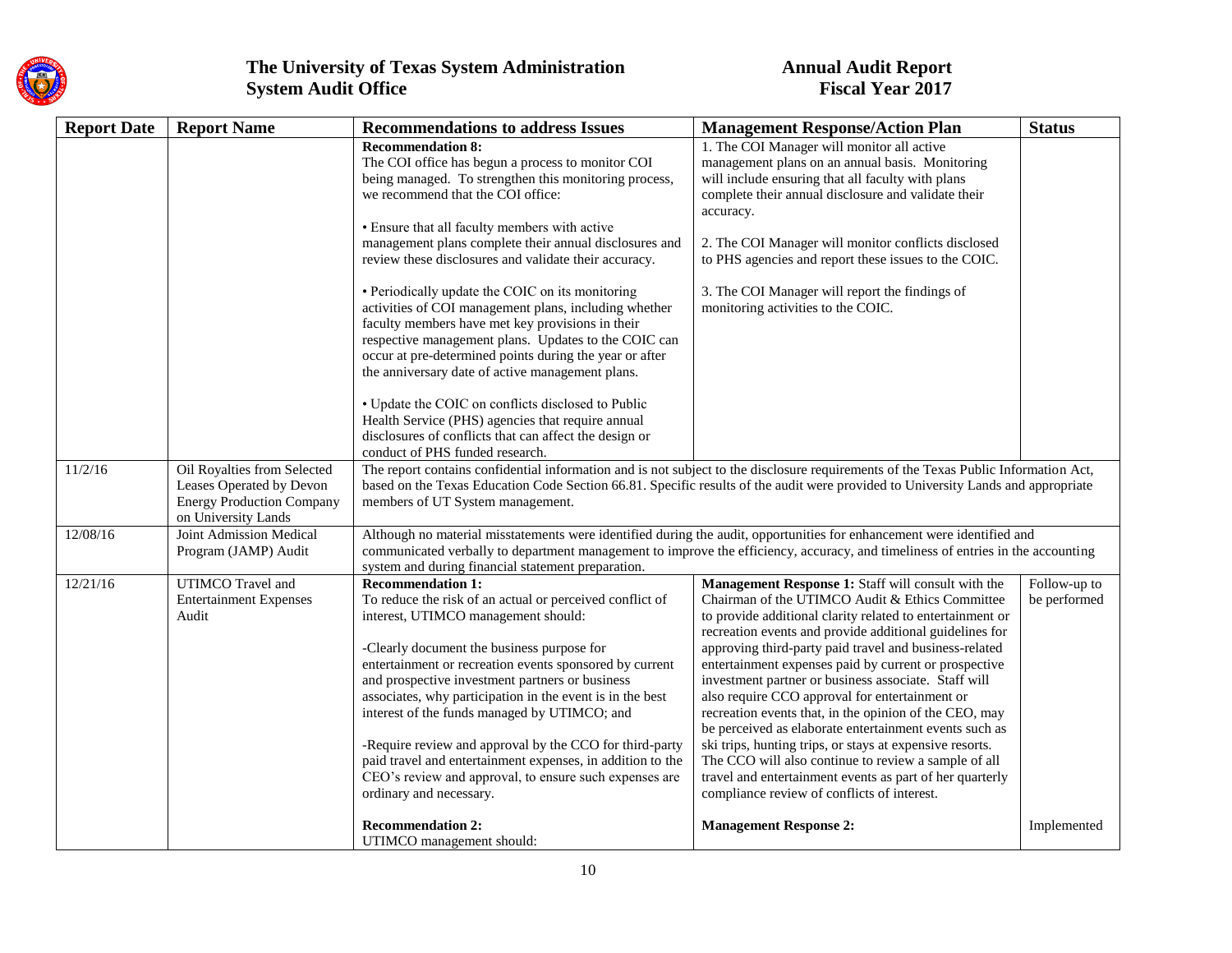

| <b>Report Date</b> | <b>Report Name</b>                                                                                                 | <b>Recommendations to address Issues</b>                                                                                                                                                                                                                                                                                                                                                                                                                                                                                                                                                                                                                                                | <b>Management Response/Action Plan</b>                                                                                                                                                                                                                                                                                                                                                                                                                                                                                                                                                                                                                                                                                                                                                                        | <b>Status</b>                |
|--------------------|--------------------------------------------------------------------------------------------------------------------|-----------------------------------------------------------------------------------------------------------------------------------------------------------------------------------------------------------------------------------------------------------------------------------------------------------------------------------------------------------------------------------------------------------------------------------------------------------------------------------------------------------------------------------------------------------------------------------------------------------------------------------------------------------------------------------------|---------------------------------------------------------------------------------------------------------------------------------------------------------------------------------------------------------------------------------------------------------------------------------------------------------------------------------------------------------------------------------------------------------------------------------------------------------------------------------------------------------------------------------------------------------------------------------------------------------------------------------------------------------------------------------------------------------------------------------------------------------------------------------------------------------------|------------------------------|
|                    |                                                                                                                    | <b>Recommendation 8:</b><br>The COI office has begun a process to monitor COI<br>being managed. To strengthen this monitoring process,<br>we recommend that the COI office:<br>• Ensure that all faculty members with active<br>management plans complete their annual disclosures and<br>review these disclosures and validate their accuracy.<br>• Periodically update the COIC on its monitoring<br>activities of COI management plans, including whether<br>faculty members have met key provisions in their<br>respective management plans. Updates to the COIC can<br>occur at pre-determined points during the year or after<br>the anniversary date of active management plans. | 1. The COI Manager will monitor all active<br>management plans on an annual basis. Monitoring<br>will include ensuring that all faculty with plans<br>complete their annual disclosure and validate their<br>accuracy.<br>2. The COI Manager will monitor conflicts disclosed<br>to PHS agencies and report these issues to the COIC.<br>3. The COI Manager will report the findings of<br>monitoring activities to the COIC.                                                                                                                                                                                                                                                                                                                                                                                 |                              |
|                    |                                                                                                                    | • Update the COIC on conflicts disclosed to Public<br>Health Service (PHS) agencies that require annual<br>disclosures of conflicts that can affect the design or<br>conduct of PHS funded research.                                                                                                                                                                                                                                                                                                                                                                                                                                                                                    |                                                                                                                                                                                                                                                                                                                                                                                                                                                                                                                                                                                                                                                                                                                                                                                                               |                              |
| 11/2/16            | Oil Royalties from Selected<br>Leases Operated by Devon<br><b>Energy Production Company</b><br>on University Lands | The report contains confidential information and is not subject to the disclosure requirements of the Texas Public Information Act,<br>based on the Texas Education Code Section 66.81. Specific results of the audit were provided to University Lands and appropriate<br>members of UT System management.                                                                                                                                                                                                                                                                                                                                                                             |                                                                                                                                                                                                                                                                                                                                                                                                                                                                                                                                                                                                                                                                                                                                                                                                               |                              |
| 12/08/16           | Joint Admission Medical<br>Program (JAMP) Audit                                                                    | Although no material misstatements were identified during the audit, opportunities for enhancement were identified and<br>communicated verbally to department management to improve the efficiency, accuracy, and timeliness of entries in the accounting<br>system and during financial statement preparation.                                                                                                                                                                                                                                                                                                                                                                         |                                                                                                                                                                                                                                                                                                                                                                                                                                                                                                                                                                                                                                                                                                                                                                                                               |                              |
| 12/21/16           | UTIMCO Travel and<br><b>Entertainment Expenses</b><br>Audit                                                        | <b>Recommendation 1:</b><br>To reduce the risk of an actual or perceived conflict of<br>interest, UTIMCO management should:<br>-Clearly document the business purpose for<br>entertainment or recreation events sponsored by current<br>and prospective investment partners or business<br>associates, why participation in the event is in the best<br>interest of the funds managed by UTIMCO; and<br>-Require review and approval by the CCO for third-party<br>paid travel and entertainment expenses, in addition to the<br>CEO's review and approval, to ensure such expenses are<br>ordinary and necessary.                                                                      | Management Response 1: Staff will consult with the<br>Chairman of the UTIMCO Audit & Ethics Committee<br>to provide additional clarity related to entertainment or<br>recreation events and provide additional guidelines for<br>approving third-party paid travel and business-related<br>entertainment expenses paid by current or prospective<br>investment partner or business associate. Staff will<br>also require CCO approval for entertainment or<br>recreation events that, in the opinion of the CEO, may<br>be perceived as elaborate entertainment events such as<br>ski trips, hunting trips, or stays at expensive resorts.<br>The CCO will also continue to review a sample of all<br>travel and entertainment events as part of her quarterly<br>compliance review of conflicts of interest. | Follow-up to<br>be performed |
|                    |                                                                                                                    | <b>Recommendation 2:</b><br>UTIMCO management should:                                                                                                                                                                                                                                                                                                                                                                                                                                                                                                                                                                                                                                   | <b>Management Response 2:</b>                                                                                                                                                                                                                                                                                                                                                                                                                                                                                                                                                                                                                                                                                                                                                                                 | Implemented                  |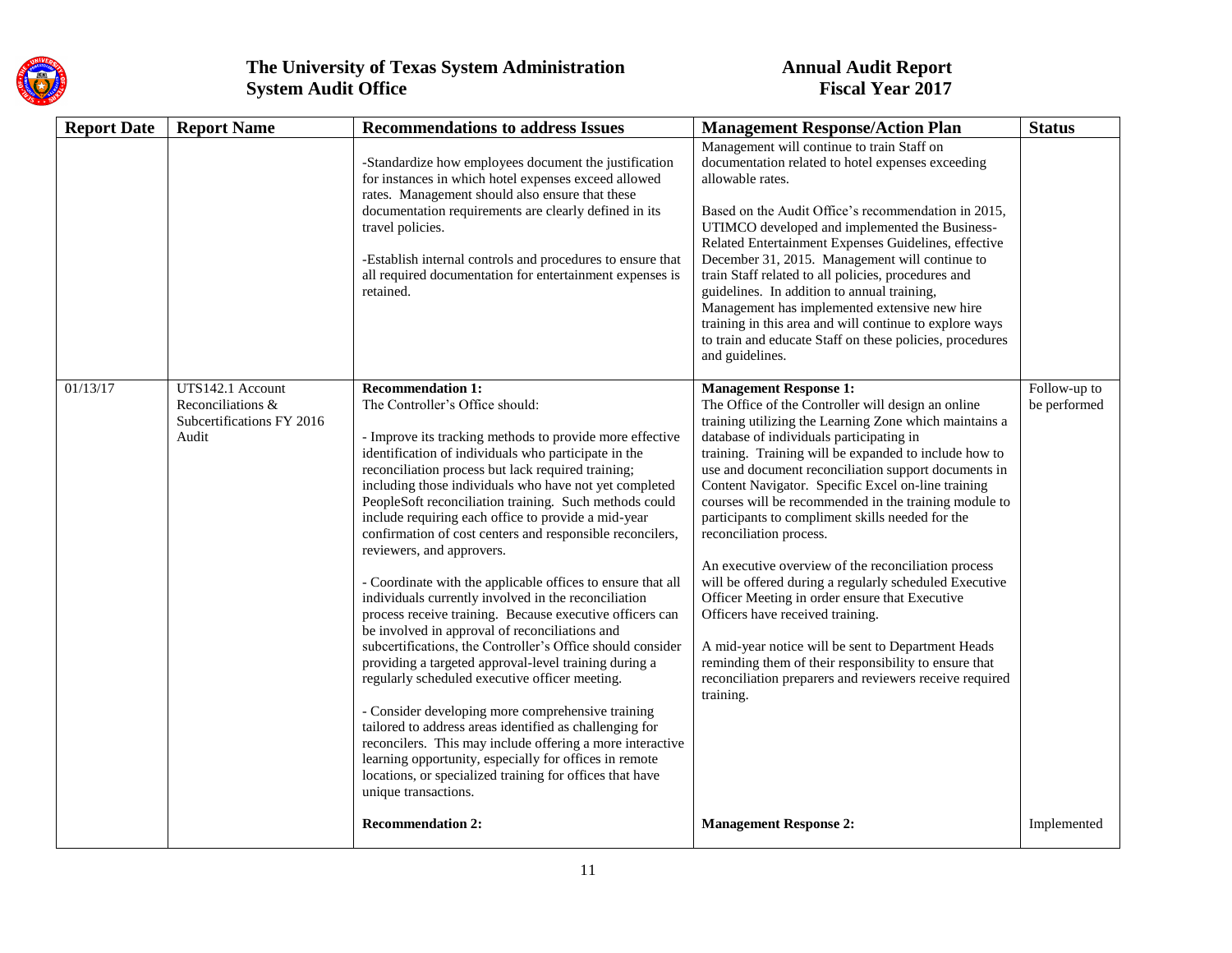

| <b>Report Date</b> | <b>Report Name</b>                                                          | <b>Recommendations to address Issues</b>                                                                                                                                                                                                                                                                                                                                                                                                                                                                                                                                                                                                                                                                                                                                                                                                                                                                                                                                                                                                                                                                                                                                                                                                            | <b>Management Response/Action Plan</b>                                                                                                                                                                                                                                                                                                                                                                                                                                                                                                                                                                                                                                                                                                                                                                                                                                                                 | <b>Status</b>                |
|--------------------|-----------------------------------------------------------------------------|-----------------------------------------------------------------------------------------------------------------------------------------------------------------------------------------------------------------------------------------------------------------------------------------------------------------------------------------------------------------------------------------------------------------------------------------------------------------------------------------------------------------------------------------------------------------------------------------------------------------------------------------------------------------------------------------------------------------------------------------------------------------------------------------------------------------------------------------------------------------------------------------------------------------------------------------------------------------------------------------------------------------------------------------------------------------------------------------------------------------------------------------------------------------------------------------------------------------------------------------------------|--------------------------------------------------------------------------------------------------------------------------------------------------------------------------------------------------------------------------------------------------------------------------------------------------------------------------------------------------------------------------------------------------------------------------------------------------------------------------------------------------------------------------------------------------------------------------------------------------------------------------------------------------------------------------------------------------------------------------------------------------------------------------------------------------------------------------------------------------------------------------------------------------------|------------------------------|
|                    |                                                                             | -Standardize how employees document the justification<br>for instances in which hotel expenses exceed allowed<br>rates. Management should also ensure that these<br>documentation requirements are clearly defined in its<br>travel policies.<br>-Establish internal controls and procedures to ensure that<br>all required documentation for entertainment expenses is<br>retained.                                                                                                                                                                                                                                                                                                                                                                                                                                                                                                                                                                                                                                                                                                                                                                                                                                                                | Management will continue to train Staff on<br>documentation related to hotel expenses exceeding<br>allowable rates.<br>Based on the Audit Office's recommendation in 2015,<br>UTIMCO developed and implemented the Business-<br>Related Entertainment Expenses Guidelines, effective<br>December 31, 2015. Management will continue to<br>train Staff related to all policies, procedures and<br>guidelines. In addition to annual training,<br>Management has implemented extensive new hire<br>training in this area and will continue to explore ways<br>to train and educate Staff on these policies, procedures<br>and guidelines.                                                                                                                                                                                                                                                                |                              |
| 01/13/17           | UTS142.1 Account<br>Reconciliations &<br>Subcertifications FY 2016<br>Audit | <b>Recommendation 1:</b><br>The Controller's Office should:<br>- Improve its tracking methods to provide more effective<br>identification of individuals who participate in the<br>reconciliation process but lack required training;<br>including those individuals who have not yet completed<br>PeopleSoft reconciliation training. Such methods could<br>include requiring each office to provide a mid-year<br>confirmation of cost centers and responsible reconcilers,<br>reviewers, and approvers.<br>- Coordinate with the applicable offices to ensure that all<br>individuals currently involved in the reconciliation<br>process receive training. Because executive officers can<br>be involved in approval of reconciliations and<br>subcertifications, the Controller's Office should consider<br>providing a targeted approval-level training during a<br>regularly scheduled executive officer meeting.<br>- Consider developing more comprehensive training<br>tailored to address areas identified as challenging for<br>reconcilers. This may include offering a more interactive<br>learning opportunity, especially for offices in remote<br>locations, or specialized training for offices that have<br>unique transactions. | <b>Management Response 1:</b><br>The Office of the Controller will design an online<br>training utilizing the Learning Zone which maintains a<br>database of individuals participating in<br>training. Training will be expanded to include how to<br>use and document reconciliation support documents in<br>Content Navigator. Specific Excel on-line training<br>courses will be recommended in the training module to<br>participants to compliment skills needed for the<br>reconciliation process.<br>An executive overview of the reconciliation process<br>will be offered during a regularly scheduled Executive<br>Officer Meeting in order ensure that Executive<br>Officers have received training.<br>A mid-year notice will be sent to Department Heads<br>reminding them of their responsibility to ensure that<br>reconciliation preparers and reviewers receive required<br>training. | Follow-up to<br>be performed |
|                    |                                                                             | <b>Recommendation 2:</b>                                                                                                                                                                                                                                                                                                                                                                                                                                                                                                                                                                                                                                                                                                                                                                                                                                                                                                                                                                                                                                                                                                                                                                                                                            | <b>Management Response 2:</b>                                                                                                                                                                                                                                                                                                                                                                                                                                                                                                                                                                                                                                                                                                                                                                                                                                                                          | Implemented                  |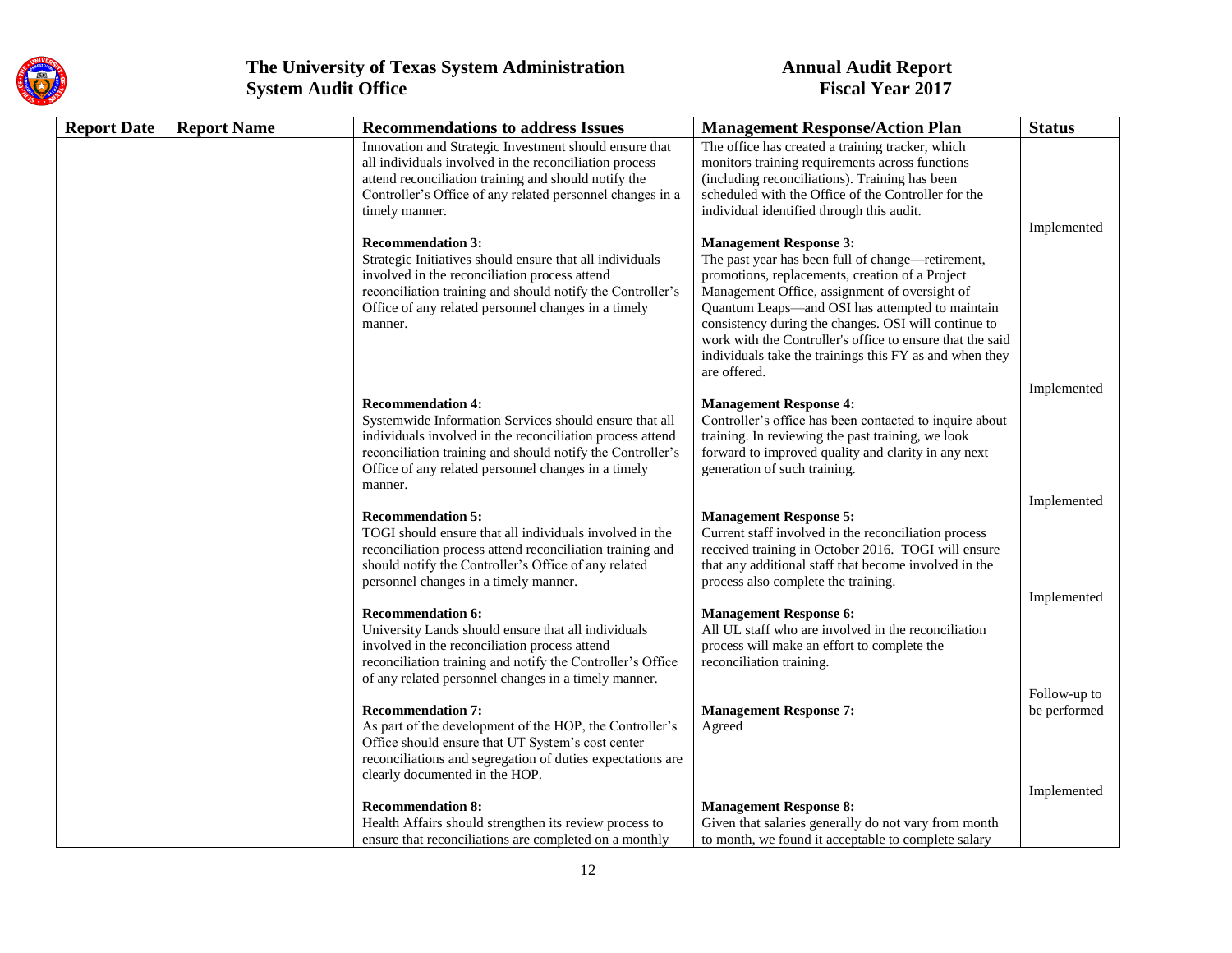

| <b>Report Date</b> | <b>Report Name</b> | <b>Recommendations to address Issues</b>                                                                          | <b>Management Response/Action Plan</b>                                                                  | <b>Status</b> |
|--------------------|--------------------|-------------------------------------------------------------------------------------------------------------------|---------------------------------------------------------------------------------------------------------|---------------|
|                    |                    | Innovation and Strategic Investment should ensure that                                                            | The office has created a training tracker, which                                                        |               |
|                    |                    | all individuals involved in the reconciliation process                                                            | monitors training requirements across functions                                                         |               |
|                    |                    | attend reconciliation training and should notify the                                                              | (including reconciliations). Training has been                                                          |               |
|                    |                    | Controller's Office of any related personnel changes in a                                                         | scheduled with the Office of the Controller for the                                                     |               |
|                    |                    | timely manner.                                                                                                    | individual identified through this audit.                                                               |               |
|                    |                    |                                                                                                                   |                                                                                                         | Implemented   |
|                    |                    | <b>Recommendation 3:</b>                                                                                          | <b>Management Response 3:</b>                                                                           |               |
|                    |                    | Strategic Initiatives should ensure that all individuals                                                          | The past year has been full of change—retirement,                                                       |               |
|                    |                    | involved in the reconciliation process attend                                                                     | promotions, replacements, creation of a Project                                                         |               |
|                    |                    | reconciliation training and should notify the Controller's<br>Office of any related personnel changes in a timely | Management Office, assignment of oversight of                                                           |               |
|                    |                    |                                                                                                                   | Quantum Leaps—and OSI has attempted to maintain<br>consistency during the changes. OSI will continue to |               |
|                    |                    | manner.                                                                                                           | work with the Controller's office to ensure that the said                                               |               |
|                    |                    |                                                                                                                   | individuals take the trainings this FY as and when they                                                 |               |
|                    |                    |                                                                                                                   | are offered.                                                                                            |               |
|                    |                    |                                                                                                                   |                                                                                                         | Implemented   |
|                    |                    | <b>Recommendation 4:</b>                                                                                          | <b>Management Response 4:</b>                                                                           |               |
|                    |                    | Systemwide Information Services should ensure that all                                                            | Controller's office has been contacted to inquire about                                                 |               |
|                    |                    | individuals involved in the reconciliation process attend                                                         | training. In reviewing the past training, we look                                                       |               |
|                    |                    | reconciliation training and should notify the Controller's                                                        | forward to improved quality and clarity in any next                                                     |               |
|                    |                    | Office of any related personnel changes in a timely                                                               | generation of such training.                                                                            |               |
|                    |                    | manner.                                                                                                           |                                                                                                         |               |
|                    |                    |                                                                                                                   |                                                                                                         | Implemented   |
|                    |                    | <b>Recommendation 5:</b>                                                                                          | <b>Management Response 5:</b>                                                                           |               |
|                    |                    | TOGI should ensure that all individuals involved in the                                                           | Current staff involved in the reconciliation process                                                    |               |
|                    |                    | reconciliation process attend reconciliation training and                                                         | received training in October 2016. TOGI will ensure                                                     |               |
|                    |                    | should notify the Controller's Office of any related                                                              | that any additional staff that become involved in the<br>process also complete the training.            |               |
|                    |                    | personnel changes in a timely manner.                                                                             |                                                                                                         | Implemented   |
|                    |                    | <b>Recommendation 6:</b>                                                                                          | <b>Management Response 6:</b>                                                                           |               |
|                    |                    | University Lands should ensure that all individuals                                                               | All UL staff who are involved in the reconciliation                                                     |               |
|                    |                    | involved in the reconciliation process attend                                                                     | process will make an effort to complete the                                                             |               |
|                    |                    | reconciliation training and notify the Controller's Office                                                        | reconciliation training.                                                                                |               |
|                    |                    | of any related personnel changes in a timely manner.                                                              |                                                                                                         |               |
|                    |                    |                                                                                                                   |                                                                                                         | Follow-up to  |
|                    |                    | <b>Recommendation 7:</b>                                                                                          | <b>Management Response 7:</b>                                                                           | be performed  |
|                    |                    | As part of the development of the HOP, the Controller's                                                           | Agreed                                                                                                  |               |
|                    |                    | Office should ensure that UT System's cost center                                                                 |                                                                                                         |               |
|                    |                    | reconciliations and segregation of duties expectations are                                                        |                                                                                                         |               |
|                    |                    | clearly documented in the HOP.                                                                                    |                                                                                                         |               |
|                    |                    |                                                                                                                   |                                                                                                         | Implemented   |
|                    |                    | <b>Recommendation 8:</b>                                                                                          | <b>Management Response 8:</b>                                                                           |               |
|                    |                    | Health Affairs should strengthen its review process to                                                            | Given that salaries generally do not vary from month                                                    |               |
|                    |                    | ensure that reconciliations are completed on a monthly                                                            | to month, we found it acceptable to complete salary                                                     |               |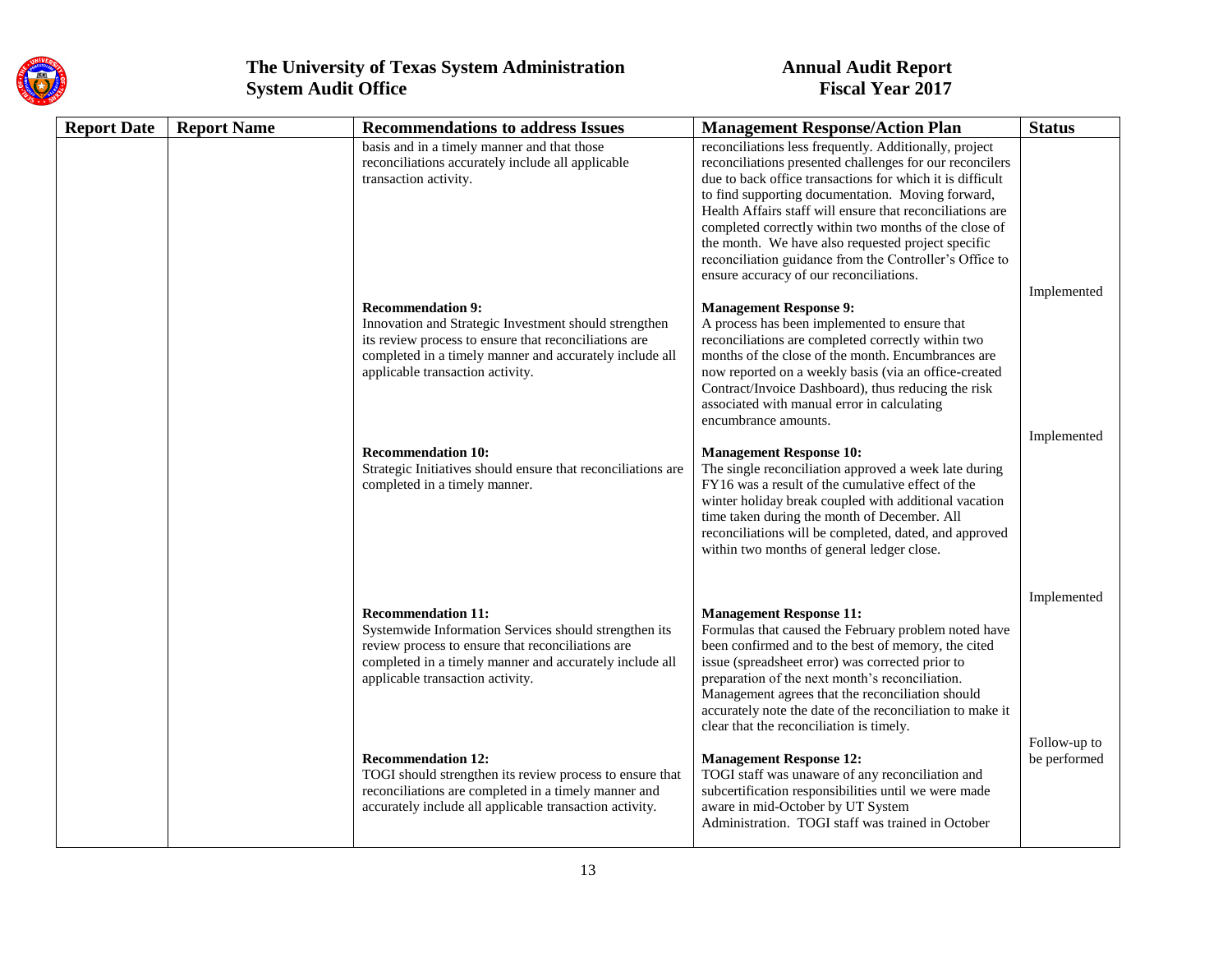

| <b>Report Date</b> | <b>Report Name</b> | <b>Recommendations to address Issues</b>                                                                                                                                                                                                  | <b>Management Response/Action Plan</b>                                                                                                                                                                                                                                                                                                                                                                                                                                                                                 | <b>Status</b>                |
|--------------------|--------------------|-------------------------------------------------------------------------------------------------------------------------------------------------------------------------------------------------------------------------------------------|------------------------------------------------------------------------------------------------------------------------------------------------------------------------------------------------------------------------------------------------------------------------------------------------------------------------------------------------------------------------------------------------------------------------------------------------------------------------------------------------------------------------|------------------------------|
|                    |                    | basis and in a timely manner and that those<br>reconciliations accurately include all applicable<br>transaction activity.                                                                                                                 | reconciliations less frequently. Additionally, project<br>reconciliations presented challenges for our reconcilers<br>due to back office transactions for which it is difficult<br>to find supporting documentation. Moving forward,<br>Health Affairs staff will ensure that reconciliations are<br>completed correctly within two months of the close of<br>the month. We have also requested project specific<br>reconciliation guidance from the Controller's Office to<br>ensure accuracy of our reconciliations. | Implemented                  |
|                    |                    | <b>Recommendation 9:</b><br>Innovation and Strategic Investment should strengthen<br>its review process to ensure that reconciliations are<br>completed in a timely manner and accurately include all<br>applicable transaction activity. | <b>Management Response 9:</b><br>A process has been implemented to ensure that<br>reconciliations are completed correctly within two<br>months of the close of the month. Encumbrances are<br>now reported on a weekly basis (via an office-created<br>Contract/Invoice Dashboard), thus reducing the risk<br>associated with manual error in calculating<br>encumbrance amounts.                                                                                                                                      | Implemented                  |
|                    |                    | <b>Recommendation 10:</b><br>Strategic Initiatives should ensure that reconciliations are<br>completed in a timely manner.                                                                                                                | <b>Management Response 10:</b><br>The single reconciliation approved a week late during<br>FY16 was a result of the cumulative effect of the<br>winter holiday break coupled with additional vacation<br>time taken during the month of December. All<br>reconciliations will be completed, dated, and approved<br>within two months of general ledger close.                                                                                                                                                          |                              |
|                    |                    | <b>Recommendation 11:</b><br>Systemwide Information Services should strengthen its<br>review process to ensure that reconciliations are<br>completed in a timely manner and accurately include all<br>applicable transaction activity.    | <b>Management Response 11:</b><br>Formulas that caused the February problem noted have<br>been confirmed and to the best of memory, the cited<br>issue (spreadsheet error) was corrected prior to<br>preparation of the next month's reconciliation.<br>Management agrees that the reconciliation should<br>accurately note the date of the reconciliation to make it<br>clear that the reconciliation is timely.                                                                                                      | Implemented                  |
|                    |                    | <b>Recommendation 12:</b><br>TOGI should strengthen its review process to ensure that<br>reconciliations are completed in a timely manner and<br>accurately include all applicable transaction activity.                                  | <b>Management Response 12:</b><br>TOGI staff was unaware of any reconciliation and<br>subcertification responsibilities until we were made<br>aware in mid-October by UT System<br>Administration. TOGI staff was trained in October                                                                                                                                                                                                                                                                                   | Follow-up to<br>be performed |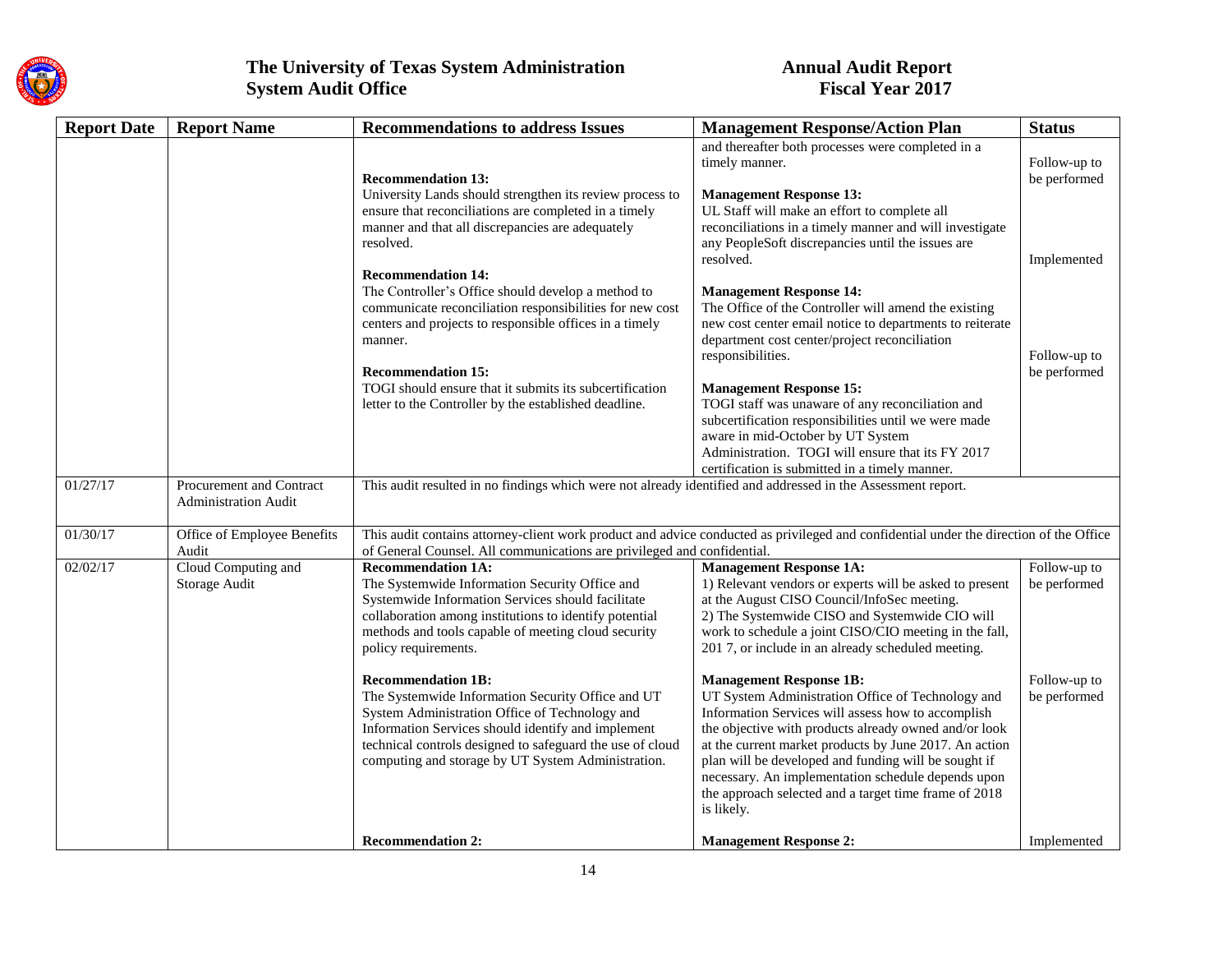

| <b>Report Date</b> | <b>Report Name</b>                                      | <b>Recommendations to address Issues</b>                                                                                                                                                                                                                                                                  | <b>Management Response/Action Plan</b>                                                                                                                                                                                                                                                                                                                                                                                                            | <b>Status</b>                               |
|--------------------|---------------------------------------------------------|-----------------------------------------------------------------------------------------------------------------------------------------------------------------------------------------------------------------------------------------------------------------------------------------------------------|---------------------------------------------------------------------------------------------------------------------------------------------------------------------------------------------------------------------------------------------------------------------------------------------------------------------------------------------------------------------------------------------------------------------------------------------------|---------------------------------------------|
|                    |                                                         | <b>Recommendation 13:</b><br>University Lands should strengthen its review process to<br>ensure that reconciliations are completed in a timely<br>manner and that all discrepancies are adequately<br>resolved.                                                                                           | and thereafter both processes were completed in a<br>timely manner.<br><b>Management Response 13:</b><br>UL Staff will make an effort to complete all<br>reconciliations in a timely manner and will investigate<br>any PeopleSoft discrepancies until the issues are<br>resolved.                                                                                                                                                                | Follow-up to<br>be performed<br>Implemented |
|                    |                                                         | <b>Recommendation 14:</b><br>The Controller's Office should develop a method to<br>communicate reconciliation responsibilities for new cost<br>centers and projects to responsible offices in a timely<br>manner.<br><b>Recommendation 15:</b>                                                            | <b>Management Response 14:</b><br>The Office of the Controller will amend the existing<br>new cost center email notice to departments to reiterate<br>department cost center/project reconciliation<br>responsibilities.                                                                                                                                                                                                                          | Follow-up to<br>be performed                |
|                    |                                                         | TOGI should ensure that it submits its subcertification<br>letter to the Controller by the established deadline.                                                                                                                                                                                          | <b>Management Response 15:</b><br>TOGI staff was unaware of any reconciliation and<br>subcertification responsibilities until we were made<br>aware in mid-October by UT System<br>Administration. TOGI will ensure that its FY 2017<br>certification is submitted in a timely manner.                                                                                                                                                            |                                             |
| 01/27/17           | Procurement and Contract<br><b>Administration Audit</b> | This audit resulted in no findings which were not already identified and addressed in the Assessment report.                                                                                                                                                                                              |                                                                                                                                                                                                                                                                                                                                                                                                                                                   |                                             |
| 01/30/17           | Office of Employee Benefits<br>Audit                    | This audit contains attorney-client work product and advice conducted as privileged and confidential under the direction of the Office<br>of General Counsel. All communications are privileged and confidential.                                                                                         |                                                                                                                                                                                                                                                                                                                                                                                                                                                   |                                             |
| 02/02/17           | Cloud Computing and<br>Storage Audit                    | <b>Recommendation 1A:</b><br>The Systemwide Information Security Office and<br>Systemwide Information Services should facilitate<br>collaboration among institutions to identify potential<br>methods and tools capable of meeting cloud security<br>policy requirements.                                 | <b>Management Response 1A:</b><br>1) Relevant vendors or experts will be asked to present<br>at the August CISO Council/InfoSec meeting.<br>2) The Systemwide CISO and Systemwide CIO will<br>work to schedule a joint CISO/CIO meeting in the fall,<br>2017, or include in an already scheduled meeting.                                                                                                                                         | Follow-up to<br>be performed                |
|                    |                                                         | <b>Recommendation 1B:</b><br>The Systemwide Information Security Office and UT<br>System Administration Office of Technology and<br>Information Services should identify and implement<br>technical controls designed to safeguard the use of cloud<br>computing and storage by UT System Administration. | <b>Management Response 1B:</b><br>UT System Administration Office of Technology and<br>Information Services will assess how to accomplish<br>the objective with products already owned and/or look<br>at the current market products by June 2017. An action<br>plan will be developed and funding will be sought if<br>necessary. An implementation schedule depends upon<br>the approach selected and a target time frame of 2018<br>is likely. | Follow-up to<br>be performed                |
|                    |                                                         | <b>Recommendation 2:</b>                                                                                                                                                                                                                                                                                  | <b>Management Response 2:</b>                                                                                                                                                                                                                                                                                                                                                                                                                     | Implemented                                 |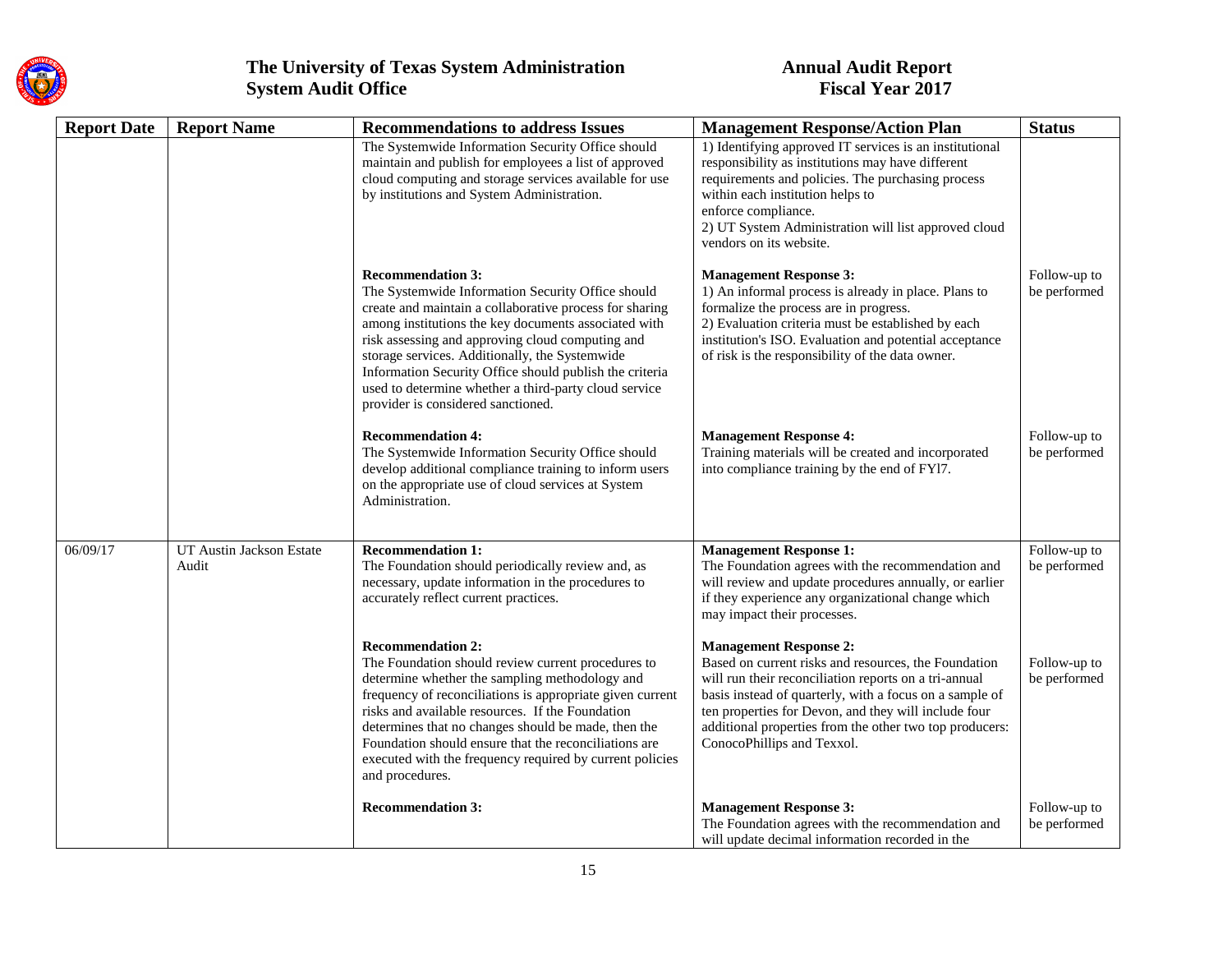

| <b>Report Date</b> | <b>Report Name</b>                | <b>Recommendations to address Issues</b>                                                                                                                                                                                                                                                                                                                                                                                                                         | <b>Management Response/Action Plan</b>                                                                                                                                                                                                                                                                                                                     | <b>Status</b>                |
|--------------------|-----------------------------------|------------------------------------------------------------------------------------------------------------------------------------------------------------------------------------------------------------------------------------------------------------------------------------------------------------------------------------------------------------------------------------------------------------------------------------------------------------------|------------------------------------------------------------------------------------------------------------------------------------------------------------------------------------------------------------------------------------------------------------------------------------------------------------------------------------------------------------|------------------------------|
|                    |                                   | The Systemwide Information Security Office should<br>maintain and publish for employees a list of approved<br>cloud computing and storage services available for use<br>by institutions and System Administration.                                                                                                                                                                                                                                               | 1) Identifying approved IT services is an institutional<br>responsibility as institutions may have different<br>requirements and policies. The purchasing process<br>within each institution helps to<br>enforce compliance.<br>2) UT System Administration will list approved cloud<br>vendors on its website.                                            |                              |
|                    |                                   | <b>Recommendation 3:</b><br>The Systemwide Information Security Office should<br>create and maintain a collaborative process for sharing<br>among institutions the key documents associated with<br>risk assessing and approving cloud computing and<br>storage services. Additionally, the Systemwide<br>Information Security Office should publish the criteria<br>used to determine whether a third-party cloud service<br>provider is considered sanctioned. | <b>Management Response 3:</b><br>1) An informal process is already in place. Plans to<br>formalize the process are in progress.<br>2) Evaluation criteria must be established by each<br>institution's ISO. Evaluation and potential acceptance<br>of risk is the responsibility of the data owner.                                                        | Follow-up to<br>be performed |
|                    |                                   | <b>Recommendation 4:</b><br>The Systemwide Information Security Office should<br>develop additional compliance training to inform users<br>on the appropriate use of cloud services at System<br>Administration.                                                                                                                                                                                                                                                 | <b>Management Response 4:</b><br>Training materials will be created and incorporated<br>into compliance training by the end of FY17.                                                                                                                                                                                                                       | Follow-up to<br>be performed |
| 06/09/17           | UT Austin Jackson Estate<br>Audit | <b>Recommendation 1:</b><br>The Foundation should periodically review and, as<br>necessary, update information in the procedures to<br>accurately reflect current practices.                                                                                                                                                                                                                                                                                     | <b>Management Response 1:</b><br>The Foundation agrees with the recommendation and<br>will review and update procedures annually, or earlier<br>if they experience any organizational change which<br>may impact their processes.                                                                                                                          | Follow-up to<br>be performed |
|                    |                                   | <b>Recommendation 2:</b><br>The Foundation should review current procedures to<br>determine whether the sampling methodology and<br>frequency of reconciliations is appropriate given current<br>risks and available resources. If the Foundation<br>determines that no changes should be made, then the<br>Foundation should ensure that the reconciliations are<br>executed with the frequency required by current policies<br>and procedures.                 | <b>Management Response 2:</b><br>Based on current risks and resources, the Foundation<br>will run their reconciliation reports on a tri-annual<br>basis instead of quarterly, with a focus on a sample of<br>ten properties for Devon, and they will include four<br>additional properties from the other two top producers:<br>ConocoPhillips and Texxol. | Follow-up to<br>be performed |
|                    |                                   | <b>Recommendation 3:</b>                                                                                                                                                                                                                                                                                                                                                                                                                                         | <b>Management Response 3:</b><br>The Foundation agrees with the recommendation and<br>will update decimal information recorded in the                                                                                                                                                                                                                      | Follow-up to<br>be performed |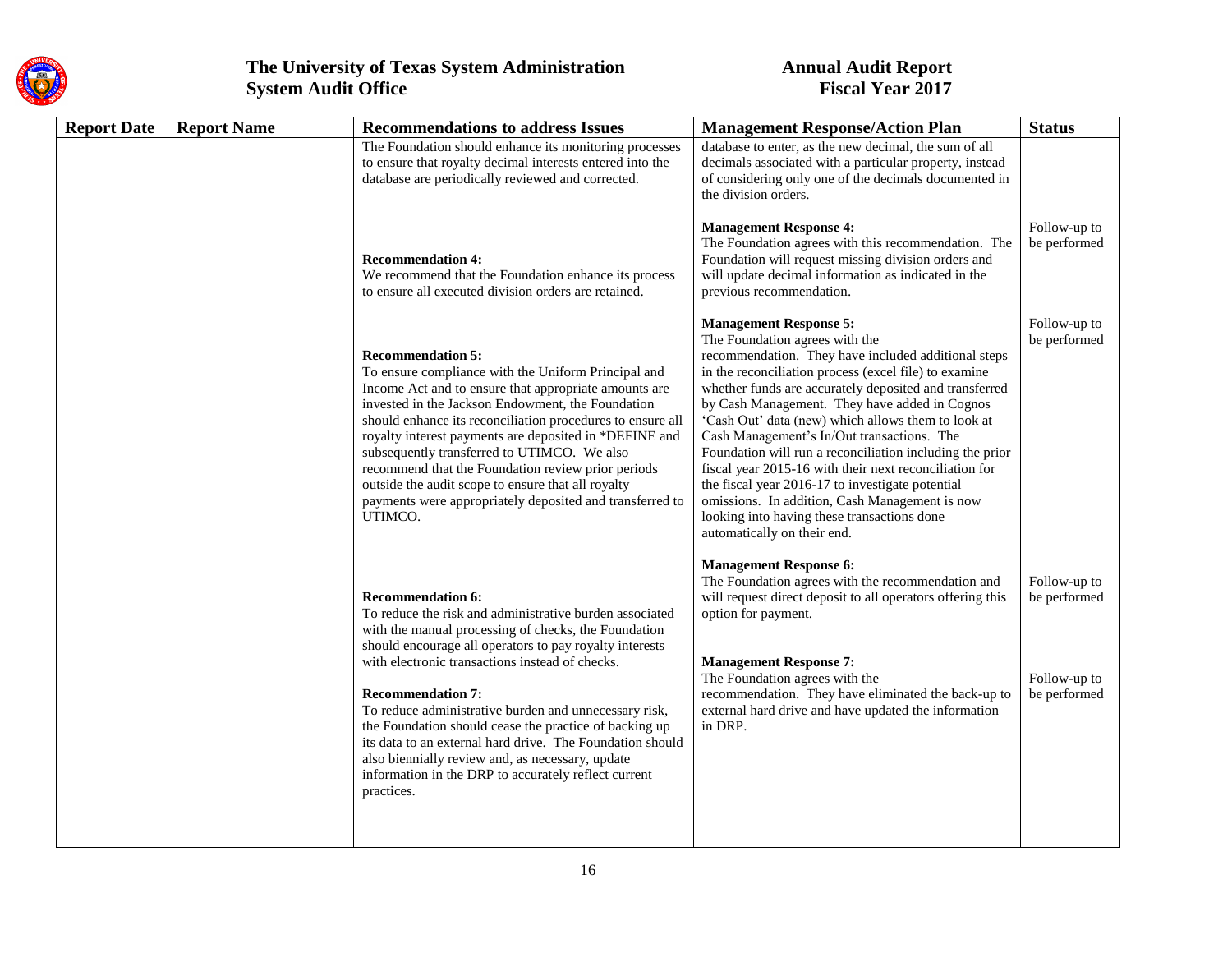

| <b>Report Date</b> | <b>Report Name</b><br><b>Recommendations to address Issues</b> |                                                                                                                                                                                                                                                                                                                                                                                                                                                                                                                                                         | <b>Management Response/Action Plan</b>                                                                                                                                                                                                                                                                                                                                                                                                                                                                                                                                                                                                                                                                   | <b>Status</b>                                                |
|--------------------|----------------------------------------------------------------|---------------------------------------------------------------------------------------------------------------------------------------------------------------------------------------------------------------------------------------------------------------------------------------------------------------------------------------------------------------------------------------------------------------------------------------------------------------------------------------------------------------------------------------------------------|----------------------------------------------------------------------------------------------------------------------------------------------------------------------------------------------------------------------------------------------------------------------------------------------------------------------------------------------------------------------------------------------------------------------------------------------------------------------------------------------------------------------------------------------------------------------------------------------------------------------------------------------------------------------------------------------------------|--------------------------------------------------------------|
|                    |                                                                | The Foundation should enhance its monitoring processes<br>to ensure that royalty decimal interests entered into the<br>database are periodically reviewed and corrected.                                                                                                                                                                                                                                                                                                                                                                                | database to enter, as the new decimal, the sum of all<br>decimals associated with a particular property, instead<br>of considering only one of the decimals documented in<br>the division orders.                                                                                                                                                                                                                                                                                                                                                                                                                                                                                                        |                                                              |
|                    |                                                                | <b>Recommendation 4:</b><br>We recommend that the Foundation enhance its process<br>to ensure all executed division orders are retained.                                                                                                                                                                                                                                                                                                                                                                                                                | <b>Management Response 4:</b><br>The Foundation agrees with this recommendation. The<br>Foundation will request missing division orders and<br>will update decimal information as indicated in the<br>previous recommendation.                                                                                                                                                                                                                                                                                                                                                                                                                                                                           | Follow-up to<br>be performed                                 |
|                    |                                                                | <b>Recommendation 5:</b><br>To ensure compliance with the Uniform Principal and<br>Income Act and to ensure that appropriate amounts are<br>invested in the Jackson Endowment, the Foundation<br>should enhance its reconciliation procedures to ensure all<br>royalty interest payments are deposited in *DEFINE and<br>subsequently transferred to UTIMCO. We also<br>recommend that the Foundation review prior periods<br>outside the audit scope to ensure that all royalty<br>payments were appropriately deposited and transferred to<br>UTIMCO. | <b>Management Response 5:</b><br>The Foundation agrees with the<br>recommendation. They have included additional steps<br>in the reconciliation process (excel file) to examine<br>whether funds are accurately deposited and transferred<br>by Cash Management. They have added in Cognos<br>'Cash Out' data (new) which allows them to look at<br>Cash Management's In/Out transactions. The<br>Foundation will run a reconciliation including the prior<br>fiscal year 2015-16 with their next reconciliation for<br>the fiscal year 2016-17 to investigate potential<br>omissions. In addition, Cash Management is now<br>looking into having these transactions done<br>automatically on their end. | Follow-up to<br>be performed                                 |
|                    |                                                                | <b>Recommendation 6:</b><br>To reduce the risk and administrative burden associated<br>with the manual processing of checks, the Foundation<br>should encourage all operators to pay royalty interests<br>with electronic transactions instead of checks.<br><b>Recommendation 7:</b><br>To reduce administrative burden and unnecessary risk,<br>the Foundation should cease the practice of backing up<br>its data to an external hard drive. The Foundation should                                                                                   | <b>Management Response 6:</b><br>The Foundation agrees with the recommendation and<br>will request direct deposit to all operators offering this<br>option for payment.<br><b>Management Response 7:</b><br>The Foundation agrees with the<br>recommendation. They have eliminated the back-up to<br>external hard drive and have updated the information<br>in DRP.                                                                                                                                                                                                                                                                                                                                     | Follow-up to<br>be performed<br>Follow-up to<br>be performed |
|                    |                                                                | also biennially review and, as necessary, update<br>information in the DRP to accurately reflect current<br>practices.                                                                                                                                                                                                                                                                                                                                                                                                                                  |                                                                                                                                                                                                                                                                                                                                                                                                                                                                                                                                                                                                                                                                                                          |                                                              |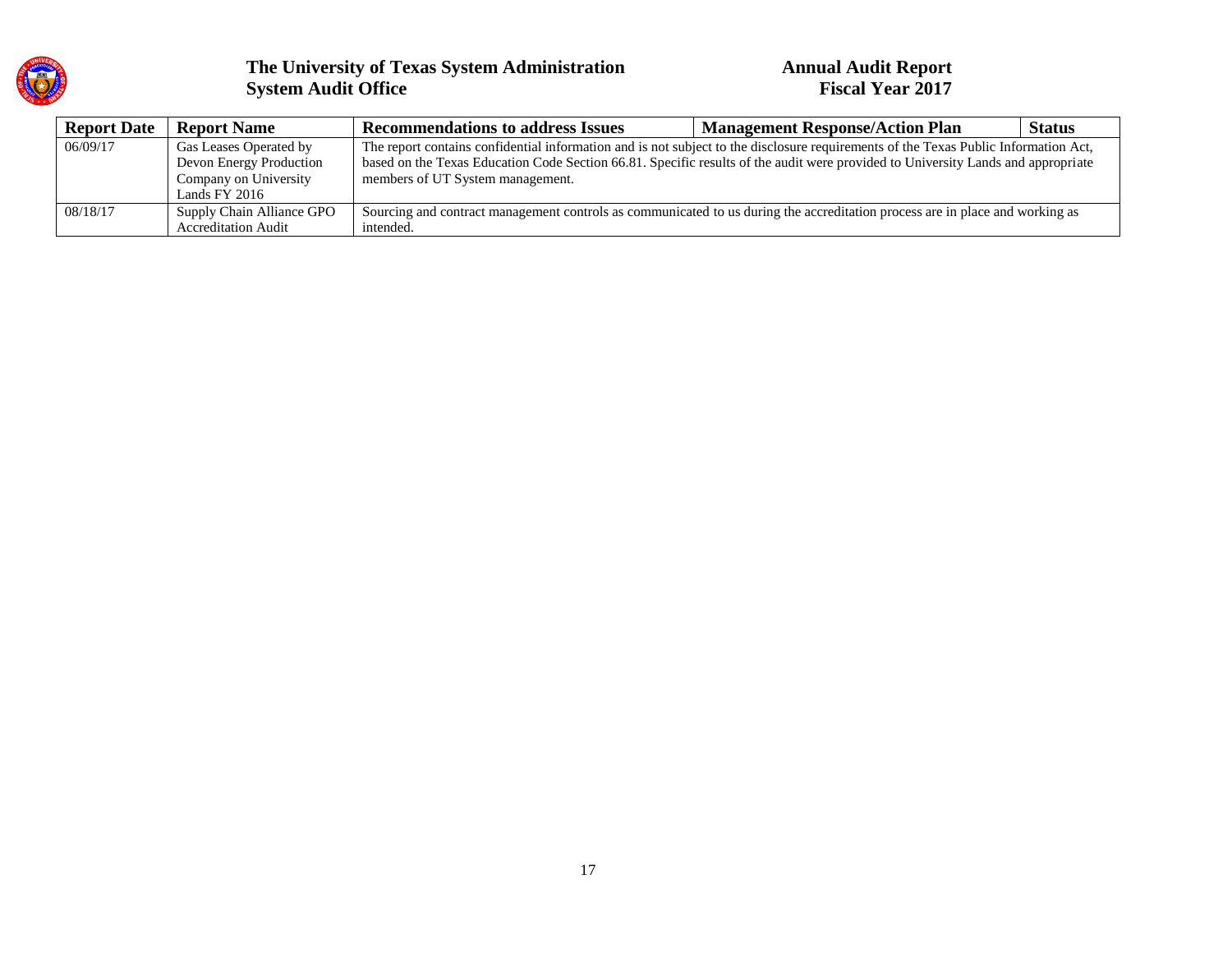

| <b>Report Date</b> | <b>Report Name</b>         | <b>Recommendations to address Issues</b>                                                                                            | <b>Management Response/Action Plan</b> | <b>Status</b> |  |
|--------------------|----------------------------|-------------------------------------------------------------------------------------------------------------------------------------|----------------------------------------|---------------|--|
| 06/09/17           | Gas Leases Operated by     | The report contains confidential information and is not subject to the disclosure requirements of the Texas Public Information Act, |                                        |               |  |
|                    | Devon Energy Production    | based on the Texas Education Code Section 66.81. Specific results of the audit were provided to University Lands and appropriate    |                                        |               |  |
|                    | Company on University      | members of UT System management.                                                                                                    |                                        |               |  |
|                    | Lands FY 2016              |                                                                                                                                     |                                        |               |  |
| 08/18/17           | Supply Chain Alliance GPO  | Sourcing and contract management controls as communicated to us during the accreditation process are in place and working as        |                                        |               |  |
|                    | <b>Accreditation Audit</b> | intended.                                                                                                                           |                                        |               |  |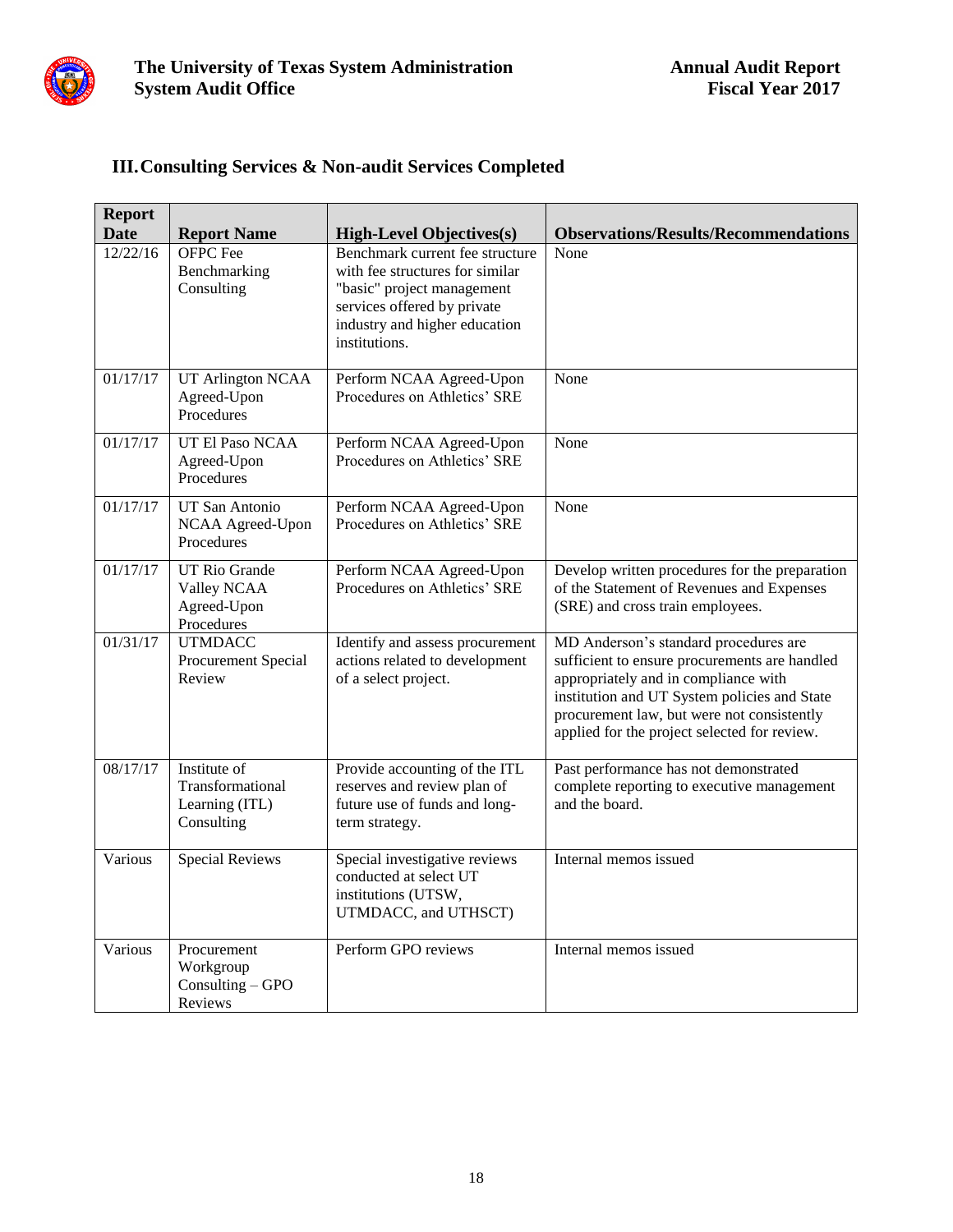

### **III.Consulting Services & Non-audit Services Completed**

| <b>Report</b><br><b>Date</b> | <b>Report Name</b>                                               | <b>High-Level Objectives(s)</b>                                                                                                                                                   | <b>Observations/Results/Recommendations</b>                                                                                                                                                                                                                                  |
|------------------------------|------------------------------------------------------------------|-----------------------------------------------------------------------------------------------------------------------------------------------------------------------------------|------------------------------------------------------------------------------------------------------------------------------------------------------------------------------------------------------------------------------------------------------------------------------|
| 12/22/16                     | <b>OFPC</b> Fee<br>Benchmarking<br>Consulting                    | Benchmark current fee structure<br>with fee structures for similar<br>"basic" project management<br>services offered by private<br>industry and higher education<br>institutions. | None                                                                                                                                                                                                                                                                         |
| 01/17/17                     | <b>UT Arlington NCAA</b><br>Agreed-Upon<br>Procedures            | Perform NCAA Agreed-Upon<br>Procedures on Athletics' SRE                                                                                                                          | None                                                                                                                                                                                                                                                                         |
| 01/17/17                     | UT El Paso NCAA<br>Agreed-Upon<br>Procedures                     | Perform NCAA Agreed-Upon<br>Procedures on Athletics' SRE                                                                                                                          | None                                                                                                                                                                                                                                                                         |
| 01/17/17                     | <b>UT San Antonio</b><br>NCAA Agreed-Upon<br>Procedures          | Perform NCAA Agreed-Upon<br>Procedures on Athletics' SRE                                                                                                                          | None                                                                                                                                                                                                                                                                         |
| 01/17/17                     | <b>UT Rio Grande</b><br>Valley NCAA<br>Agreed-Upon<br>Procedures | Perform NCAA Agreed-Upon<br>Procedures on Athletics' SRE                                                                                                                          | Develop written procedures for the preparation<br>of the Statement of Revenues and Expenses<br>(SRE) and cross train employees.                                                                                                                                              |
| 01/31/17                     | <b>UTMDACC</b><br>Procurement Special<br>Review                  | Identify and assess procurement<br>actions related to development<br>of a select project.                                                                                         | MD Anderson's standard procedures are<br>sufficient to ensure procurements are handled<br>appropriately and in compliance with<br>institution and UT System policies and State<br>procurement law, but were not consistently<br>applied for the project selected for review. |
| 08/17/17                     | Institute of<br>Transformational<br>Learning (ITL)<br>Consulting | Provide accounting of the ITL<br>reserves and review plan of<br>future use of funds and long-<br>term strategy.                                                                   | Past performance has not demonstrated<br>complete reporting to executive management<br>and the board.                                                                                                                                                                        |
| Various                      | <b>Special Reviews</b>                                           | Special investigative reviews<br>conducted at select UT<br>institutions (UTSW,<br>UTMDACC, and UTHSCT)                                                                            | Internal memos issued                                                                                                                                                                                                                                                        |
| Various                      | Procurement<br>Workgroup<br>Consulting $-$ GPO<br>Reviews        | Perform GPO reviews                                                                                                                                                               | Internal memos issued                                                                                                                                                                                                                                                        |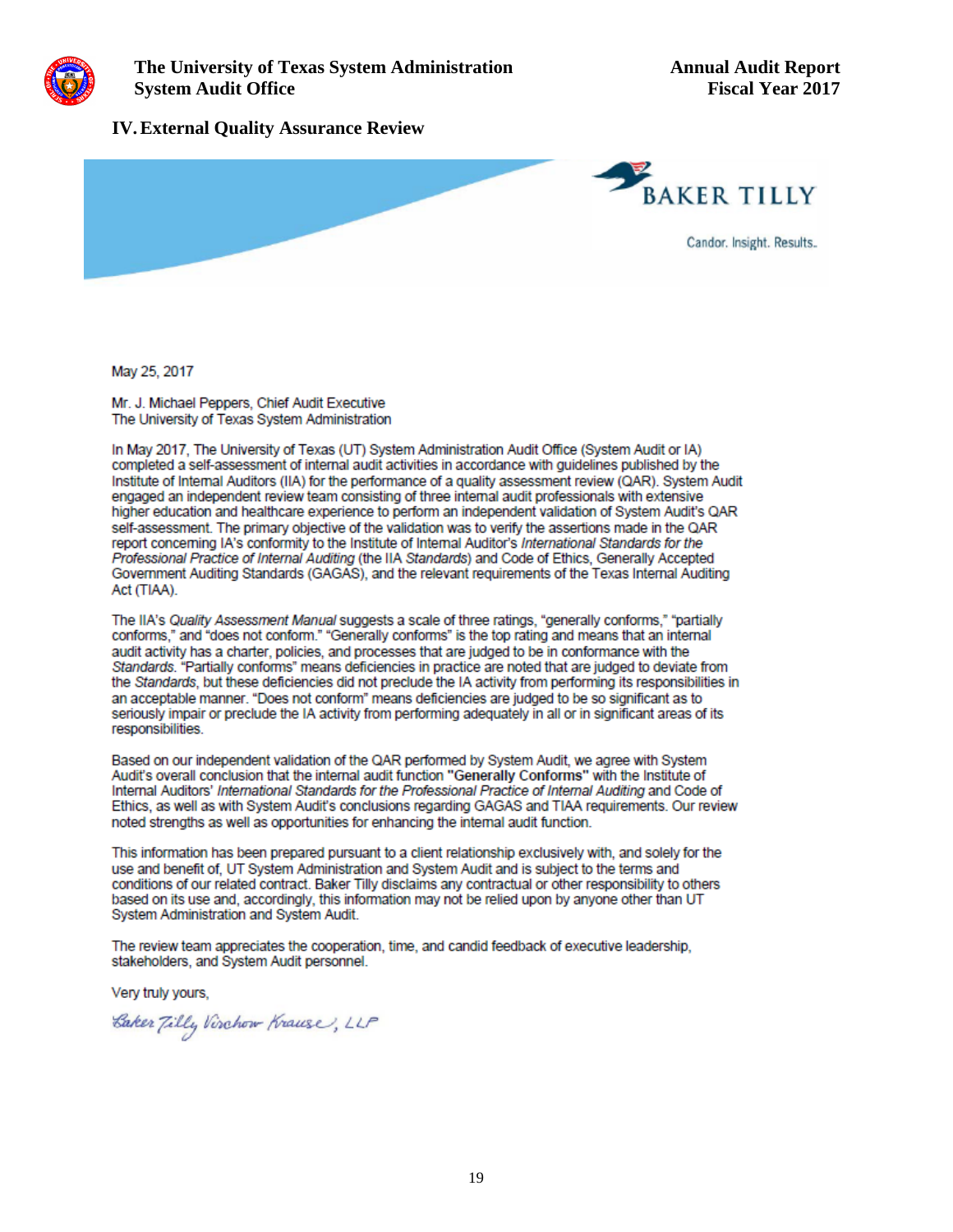

#### **IV.External Quality Assurance Review**



May 25, 2017

Mr. J. Michael Peppers, Chief Audit Executive The University of Texas System Administration

In May 2017. The University of Texas (UT) System Administration Audit Office (System Audit or IA) completed a self-assessment of internal audit activities in accordance with quidelines published by the Institute of Internal Auditors (IIA) for the performance of a quality assessment review (QAR). System Audit engaged an independent review team consisting of three internal audit professionals with extensive higher education and healthcare experience to perform an independent validation of System Audit's QAR self-assessment. The primary objective of the validation was to verify the assertions made in the QAR report concerning IA's conformity to the Institute of Internal Auditor's International Standards for the Professional Practice of Internal Auditing (the IIA Standards) and Code of Ethics, Generally Accepted Government Auditing Standards (GAGAS), and the relevant requirements of the Texas Internal Auditing Act (TIAA).

The IIA's Quality Assessment Manual suggests a scale of three ratings, "generally conforms," "partially conforms," and "does not conform." "Generally conforms" is the top rating and means that an internal audit activity has a charter, policies, and processes that are judged to be in conformance with the Standards. "Partially conforms" means deficiencies in practice are noted that are judged to deviate from the Standards, but these deficiencies did not preclude the IA activity from performing its responsibilities in an acceptable manner. "Does not conform" means deficiencies are judged to be so significant as to seriously impair or preclude the IA activity from performing adequately in all or in significant areas of its responsibilities.

Based on our independent validation of the QAR performed by System Audit, we agree with System Audit's overall conclusion that the internal audit function "Generally Conforms" with the Institute of Internal Auditors' International Standards for the Professional Practice of Internal Auditing and Code of Ethics, as well as with System Audit's conclusions regarding GAGAS and TIAA requirements. Our review noted strengths as well as opportunities for enhancing the internal audit function.

This information has been prepared pursuant to a client relationship exclusively with, and solely for the use and benefit of, UT System Administration and System Audit and is subject to the terms and conditions of our related contract. Baker Tilly disclaims any contractual or other responsibility to others based on its use and, accordingly, this information may not be relied upon by anyone other than UT System Administration and System Audit.

The review team appreciates the cooperation, time, and candid feedback of executive leadership. stakeholders, and System Audit personnel.

Very truly yours,

Caker Tilly Virchow Krause, LLP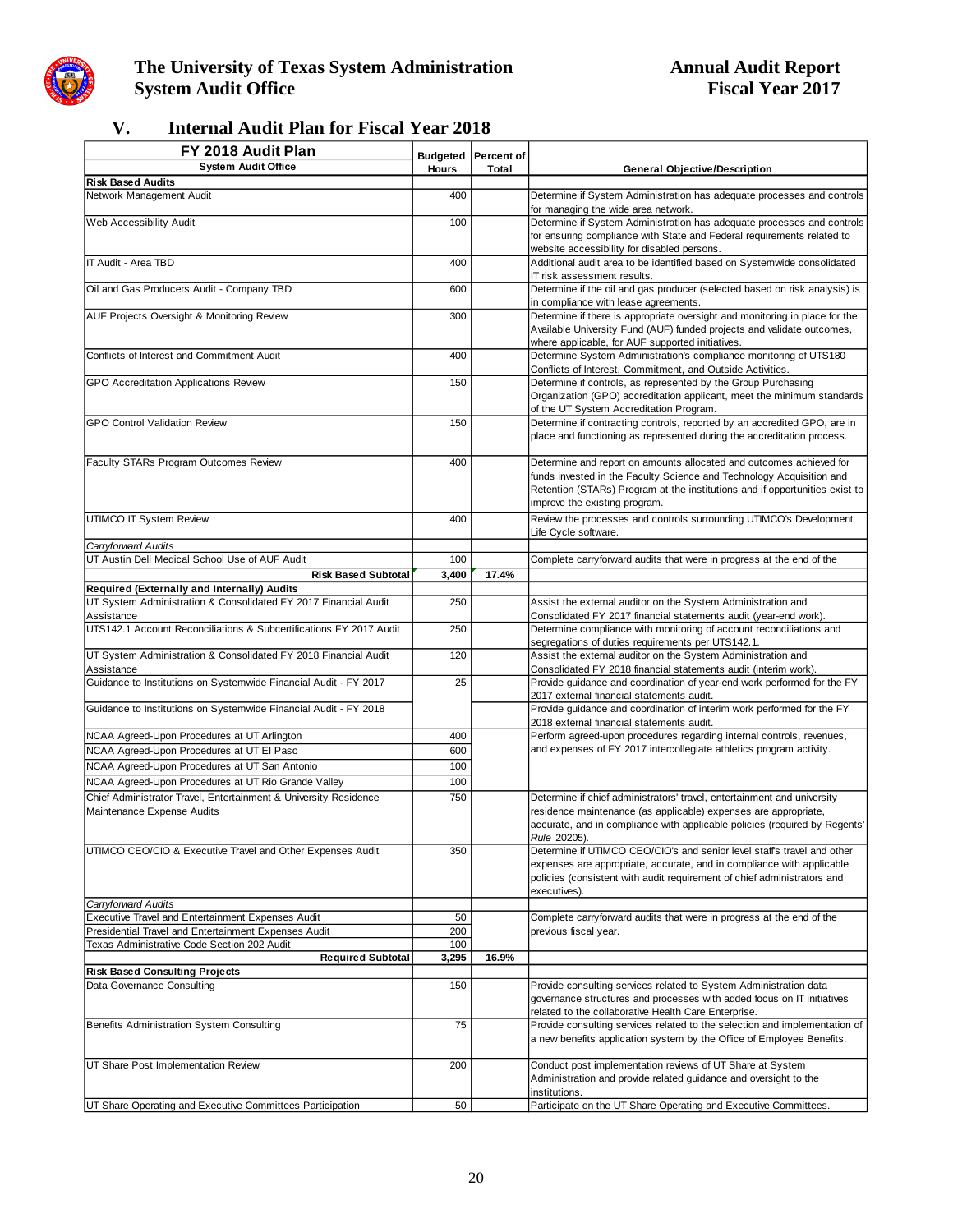

### **The University of Texas System Administration**<br>System Audit Office<br>Fiscal Year 2017 **System Audit Office**

### **V. Internal Audit Plan for Fiscal Year 2018**

| FY 2018 Audit Plan                                                                                  |              | <b>Budgeted Percent of</b> |                                                                                                                                                                                                                                                             |
|-----------------------------------------------------------------------------------------------------|--------------|----------------------------|-------------------------------------------------------------------------------------------------------------------------------------------------------------------------------------------------------------------------------------------------------------|
| <b>System Audit Office</b>                                                                          | <b>Hours</b> | Total                      | <b>General Objective/Description</b>                                                                                                                                                                                                                        |
| <b>Risk Based Audits</b>                                                                            |              |                            |                                                                                                                                                                                                                                                             |
| Network Management Audit                                                                            | 400          |                            | Determine if System Administration has adequate processes and controls<br>for managing the wide area network.                                                                                                                                               |
| Web Accessibility Audit                                                                             | 100          |                            | Determine if System Administration has adequate processes and controls<br>for ensuring compliance with State and Federal requirements related to                                                                                                            |
|                                                                                                     |              |                            | website accessibility for disabled persons.                                                                                                                                                                                                                 |
| IT Audit - Area TBD                                                                                 | 400          |                            | Additional audit area to be identified based on Systemwide consolidated                                                                                                                                                                                     |
| Oil and Gas Producers Audit - Company TBD                                                           | 600          |                            | IT risk assessment results.<br>Determine if the oil and gas producer (selected based on risk analysis) is                                                                                                                                                   |
|                                                                                                     |              |                            | in compliance with lease agreements.                                                                                                                                                                                                                        |
| AUF Projects Oversight & Monitoring Review                                                          | 300          |                            | Determine if there is appropriate oversight and monitoring in place for the<br>Available University Fund (AUF) funded projects and validate outcomes,<br>where applicable, for AUF supported initiatives.                                                   |
| Conflicts of Interest and Commitment Audit                                                          | 400          |                            | Determine System Administration's compliance monitoring of UTS180<br>Conflicts of Interest, Commitment, and Outside Activities.                                                                                                                             |
| GPO Accreditation Applications Review                                                               | 150          |                            | Determine if controls, as represented by the Group Purchasing<br>Organization (GPO) accreditation applicant, meet the minimum standards<br>of the UT System Accreditation Program.                                                                          |
| <b>GPO Control Validation Review</b>                                                                | 150          |                            | Determine if contracting controls, reported by an accredited GPO, are in<br>place and functioning as represented during the accreditation process.                                                                                                          |
| Faculty STARs Program Outcomes Review                                                               | 400          |                            | Determine and report on amounts allocated and outcomes achieved for<br>funds invested in the Faculty Science and Technology Acquisition and<br>Retention (STARs) Program at the institutions and if opportunities exist to<br>improve the existing program. |
| UTIMCO IT System Review                                                                             | 400          |                            | Review the processes and controls surrounding UTIMCO's Development<br>Life Cycle software.                                                                                                                                                                  |
| Carryforward Audits                                                                                 |              |                            |                                                                                                                                                                                                                                                             |
| UT Austin Dell Medical School Use of AUF Audit                                                      | 100          |                            | Complete carryforward audits that were in progress at the end of the                                                                                                                                                                                        |
| <b>Risk Based Subtotal</b><br>Required (Externally and Internally) Audits                           | 3,400        | 17.4%                      |                                                                                                                                                                                                                                                             |
| UT System Administration & Consolidated FY 2017 Financial Audit                                     | 250          |                            | Assist the external auditor on the System Administration and                                                                                                                                                                                                |
| Assistance                                                                                          |              |                            | Consolidated FY 2017 financial statements audit (year-end work).                                                                                                                                                                                            |
| UTS142.1 Account Reconciliations & Subcertifications FY 2017 Audit                                  | 250          |                            | Determine compliance with monitoring of account reconciliations and<br>segregations of duties requirements per UTS142.1.                                                                                                                                    |
| UT System Administration & Consolidated FY 2018 Financial Audit<br>Assistance                       | 120          |                            | Assist the external auditor on the System Administration and<br>Consolidated FY 2018 financial statements audit (interim work).                                                                                                                             |
| Guidance to Institutions on Systemwide Financial Audit - FY 2017                                    | 25           |                            | Provide guidance and coordination of year-end work performed for the FY<br>2017 external financial statements audit.                                                                                                                                        |
| Guidance to Institutions on Systemwide Financial Audit - FY 2018                                    |              |                            | Provide guidance and coordination of interim work performed for the FY<br>2018 external financial statements audit.                                                                                                                                         |
| NCAA Agreed-Upon Procedures at UT Arlington                                                         | 400          |                            | Perform agreed-upon procedures regarding internal controls, revenues,                                                                                                                                                                                       |
| NCAA Agreed-Upon Procedures at UT EI Paso                                                           | 600          |                            | and expenses of FY 2017 intercollegiate athletics program activity.                                                                                                                                                                                         |
| NCAA Agreed-Upon Procedures at UT San Antonio                                                       | 100          |                            |                                                                                                                                                                                                                                                             |
| NCAA Agreed-Upon Procedures at UT Rio Grande Valley                                                 | 100          |                            |                                                                                                                                                                                                                                                             |
| Chief Administrator Travel, Entertainment & University Residence<br>Maintenance Expense Audits      | 750          |                            | Determine if chief administrators' travel, entertainment and university<br>residence maintenance (as applicable) expenses are appropriate,<br>accurate, and in compliance with applicable policies (required by Regents'<br>Rule 20205).                    |
| UTIMCO CEO/CIO & Executive Travel and Other Expenses Audit                                          | 350          |                            | Determine if UTIMCO CEO/CIO's and senior level staffs travel and other<br>expenses are appropriate, accurate, and in compliance with applicable<br>policies (consistent with audit requirement of chief administrators and<br>executives).                  |
| Carryforward Audits                                                                                 |              |                            |                                                                                                                                                                                                                                                             |
| Executive Travel and Entertainment Expenses Audit                                                   | 50           |                            | Complete carryforward audits that were in progress at the end of the                                                                                                                                                                                        |
| Presidential Travel and Entertainment Expenses Audit<br>Texas Administrative Code Section 202 Audit | 200<br>100   |                            | previous fiscal year.                                                                                                                                                                                                                                       |
| <b>Required Subtotal</b>                                                                            | 3,295        | 16.9%                      |                                                                                                                                                                                                                                                             |
| <b>Risk Based Consulting Projects</b>                                                               |              |                            |                                                                                                                                                                                                                                                             |
| Data Governance Consulting                                                                          | 150          |                            | Provide consulting services related to System Administration data<br>governance structures and processes with added focus on IT initiatives<br>related to the collaborative Health Care Enterprise.                                                         |
| Benefits Administration System Consulting                                                           | 75           |                            | Provide consulting services related to the selection and implementation of<br>a new benefits application system by the Office of Employee Benefits.                                                                                                         |
| UT Share Post Implementation Review                                                                 | 200          |                            | Conduct post implementation reviews of UT Share at System<br>Administration and provide related guidance and oversight to the<br>institutions.                                                                                                              |
| UT Share Operating and Executive Committees Participation                                           | 50           |                            | Participate on the UT Share Operating and Executive Committees.                                                                                                                                                                                             |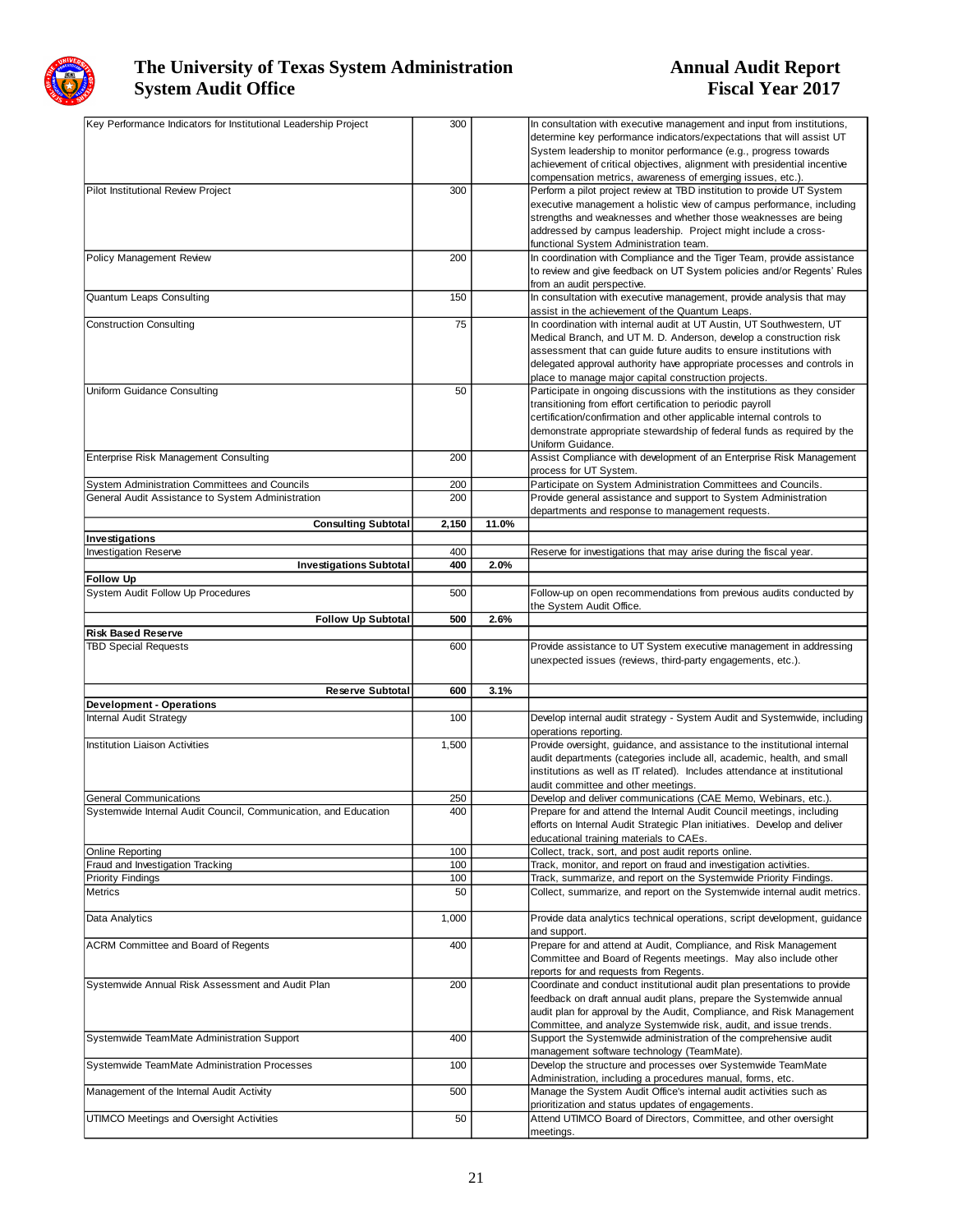

| Key Performance Indicators for Institutional Leadership Project | 300   |       | In consultation with executive management and input from institutions,        |
|-----------------------------------------------------------------|-------|-------|-------------------------------------------------------------------------------|
|                                                                 |       |       | determine key performance indicators/expectations that will assist UT         |
|                                                                 |       |       | System leadership to monitor performance (e.g., progress towards              |
|                                                                 |       |       | achievement of critical objectives, alignment with presidential incentive     |
|                                                                 |       |       | compensation metrics, awareness of emerging issues, etc.).                    |
| Pilot Institutional Review Project                              | 300   |       | Perform a pilot project review at TBD institution to provide UT System        |
|                                                                 |       |       | executive management a holistic view of campus performance, including         |
|                                                                 |       |       |                                                                               |
|                                                                 |       |       | strengths and weaknesses and whether those weaknesses are being               |
|                                                                 |       |       | addressed by campus leadership. Project might include a cross-                |
|                                                                 |       |       | functional System Administration team.                                        |
| Policy Management Review                                        | 200   |       | In coordination with Compliance and the Tiger Team, provide assistance        |
|                                                                 |       |       | to review and give feedback on UT System policies and/or Regents' Rules       |
|                                                                 |       |       | from an audit perspective.                                                    |
| Quantum Leaps Consulting                                        | 150   |       | In consultation with executive management, provide analysis that may          |
|                                                                 |       |       | assist in the achievement of the Quantum Leaps.                               |
| <b>Construction Consulting</b>                                  | 75    |       | In coordination with internal audit at UT Austin, UT Southwestern, UT         |
|                                                                 |       |       |                                                                               |
|                                                                 |       |       | Medical Branch, and UT M. D. Anderson, develop a construction risk            |
|                                                                 |       |       | assessment that can guide future audits to ensure institutions with           |
|                                                                 |       |       | delegated approval authority have appropriate processes and controls in       |
|                                                                 |       |       | place to manage major capital construction projects.                          |
| Uniform Guidance Consulting                                     | 50    |       | Participate in ongoing discussions with the institutions as they consider     |
|                                                                 |       |       | transitioning from effort certification to periodic payroll                   |
|                                                                 |       |       | certification/confirmation and other applicable internal controls to          |
|                                                                 |       |       |                                                                               |
|                                                                 |       |       | demonstrate appropriate stewardship of federal funds as required by the       |
|                                                                 |       |       | Uniform Guidance.                                                             |
| Enterprise Risk Management Consulting                           | 200   |       | Assist Compliance with development of an Enterprise Risk Management           |
|                                                                 |       |       | process for UT System.                                                        |
| System Administration Committees and Councils                   | 200   |       | Participate on System Administration Committees and Councils.                 |
| General Audit Assistance to System Administration               | 200   |       | Provide general assistance and support to System Administration               |
|                                                                 |       |       | departments and response to management requests.                              |
| <b>Consulting Subtotal</b>                                      | 2,150 | 11.0% |                                                                               |
|                                                                 |       |       |                                                                               |
| Investigations                                                  |       |       |                                                                               |
| <b>Investigation Reserve</b>                                    | 400   |       | Reserve for investigations that may arise during the fiscal year.             |
| <b>Investigations Subtotal</b>                                  | 400   | 2.0%  |                                                                               |
| <b>Follow Up</b>                                                |       |       |                                                                               |
| System Audit Follow Up Procedures                               | 500   |       | Follow-up on open recommendations from previous audits conducted by           |
|                                                                 |       |       | the System Audit Office.                                                      |
| <b>Follow Up Subtotal</b>                                       | 500   | 2.6%  |                                                                               |
|                                                                 |       |       |                                                                               |
|                                                                 |       |       |                                                                               |
| <b>Risk Based Reserve</b>                                       |       |       |                                                                               |
| <b>TBD Special Requests</b>                                     | 600   |       | Provide assistance to UT System executive management in addressing            |
|                                                                 |       |       | unexpected issues (reviews, third-party engagements, etc.).                   |
|                                                                 |       |       |                                                                               |
| <b>Reserve Subtotal</b>                                         | 600   | 3.1%  |                                                                               |
|                                                                 |       |       |                                                                               |
| <b>Development - Operations</b>                                 |       |       |                                                                               |
| <b>Internal Audit Strategy</b>                                  | 100   |       | Develop internal audit strategy - System Audit and Systemwide, including      |
|                                                                 |       |       | operations reporting.                                                         |
| <b>Institution Liaison Activities</b>                           | 1,500 |       | Provide oversight, guidance, and assistance to the institutional internal     |
|                                                                 |       |       | audit departments (categories include all, academic, health, and small        |
|                                                                 |       |       | institutions as well as IT related). Includes attendance at institutional     |
|                                                                 |       |       |                                                                               |
|                                                                 |       |       | audit committee and other meetings.                                           |
| General Communications                                          | 250   |       | Develop and deliver communications (CAE Memo, Webinars, etc.).                |
| Systemwide Internal Audit Council, Communication, and Education | 400   |       | Prepare for and attend the Internal Audit Council meetings, including         |
|                                                                 |       |       | efforts on Internal Audit Strategic Plan initiatives. Develop and deliver     |
|                                                                 |       |       | educational training materials to CAEs.                                       |
| <b>Online Reporting</b>                                         | 100   |       | Collect, track, sort, and post audit reports online.                          |
| Fraud and Investigation Tracking                                | 100   |       | Track, monitor, and report on fraud and investigation activities.             |
|                                                                 |       |       |                                                                               |
| <b>Priority Findings</b>                                        | 100   |       | Track, summarize, and report on the Systemwide Priority Findings.             |
| Metrics                                                         | 50    |       | Collect, summarize, and report on the Systemwide internal audit metrics.      |
|                                                                 |       |       |                                                                               |
| Data Analytics                                                  | 1,000 |       | Provide data analytics technical operations, script development, guidance     |
|                                                                 |       |       | and support.                                                                  |
| ACRM Committee and Board of Regents                             | 400   |       | Prepare for and attend at Audit, Compliance, and Risk Management              |
|                                                                 |       |       | Committee and Board of Regents meetings. May also include other               |
|                                                                 |       |       |                                                                               |
|                                                                 |       |       | reports for and requests from Regents.                                        |
| Systemwide Annual Risk Assessment and Audit Plan                | 200   |       | Coordinate and conduct institutional audit plan presentations to provide      |
|                                                                 |       |       | feedback on draft annual audit plans, prepare the Systemwide annual           |
|                                                                 |       |       | audit plan for approval by the Audit, Compliance, and Risk Management         |
|                                                                 |       |       | Committee, and analyze Systemwide risk, audit, and issue trends.              |
| Systemwide TeamMate Administration Support                      | 400   |       | Support the Systemwide administration of the comprehensive audit              |
|                                                                 |       |       | management software technology (TeamMate).                                    |
|                                                                 |       |       |                                                                               |
| Systemwide TeamMate Administration Processes                    | 100   |       | Develop the structure and processes over Systemwide TeamMate                  |
|                                                                 |       |       | Administration, including a procedures manual, forms, etc.                    |
| Management of the Internal Audit Activity                       | 500   |       | Manage the System Audit Office's internal audit activities such as            |
|                                                                 |       |       | prioritization and status updates of engagements.                             |
| UTIMCO Meetings and Oversight Activities                        | 50    |       | Attend UTIMCO Board of Directors, Committee, and other oversight<br>meetings. |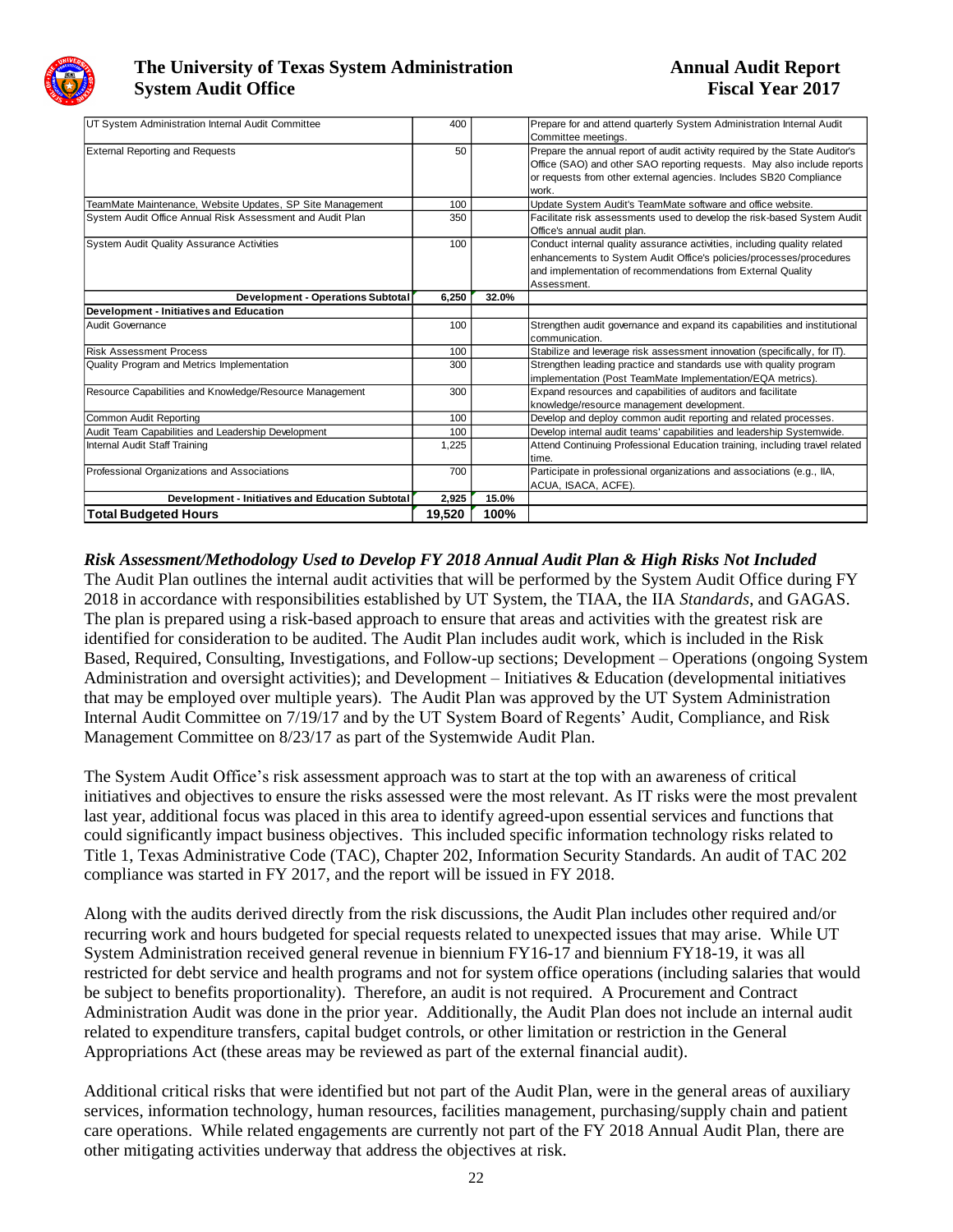

| UT System Administration Internal Audit Committee         | 400    |       | Prepare for and attend quarterly System Administration Internal Audit       |
|-----------------------------------------------------------|--------|-------|-----------------------------------------------------------------------------|
|                                                           |        |       | Committee meetings.                                                         |
| <b>External Reporting and Requests</b>                    | 50     |       | Prepare the annual report of audit activity required by the State Auditor's |
|                                                           |        |       | Office (SAO) and other SAO reporting requests. May also include reports     |
|                                                           |        |       | or requests from other external agencies. Includes SB20 Compliance          |
|                                                           |        |       | work.                                                                       |
| TeamMate Maintenance, Website Updates, SP Site Management | 100    |       | Update System Audit's TeamMate software and office website.                 |
| System Audit Office Annual Risk Assessment and Audit Plan | 350    |       | Facilitate risk assessments used to develop the risk-based System Audit     |
|                                                           |        |       | Office's annual audit plan.                                                 |
| <b>System Audit Quality Assurance Activities</b>          | 100    |       | Conduct internal quality assurance activities, including quality related    |
|                                                           |        |       | enhancements to System Audit Office's policies/processes/procedures         |
|                                                           |        |       | and implementation of recommendations from External Quality                 |
|                                                           |        |       | Assessment.                                                                 |
| <b>Development - Operations Subtotal</b>                  | 6,250  | 32.0% |                                                                             |
| Development - Initiatives and Education                   |        |       |                                                                             |
| <b>Audit Governance</b>                                   | 100    |       | Strengthen audit governance and expand its capabilities and institutional   |
|                                                           |        |       | communication.                                                              |
| <b>Risk Assessment Process</b>                            | 100    |       | Stabilize and leverage risk assessment innovation (specifically, for IT).   |
| Quality Program and Metrics Implementation                | 300    |       | Strengthen leading practice and standards use with quality program          |
|                                                           |        |       | implementation (Post TeamMate Implementation/EQA metrics).                  |
| Resource Capabilities and Knowledge/Resource Management   | 300    |       | Expand resources and capabilities of auditors and facilitate                |
|                                                           |        |       | knowledge/resource management development.                                  |
| Common Audit Reportina                                    | 100    |       | Develop and deploy common audit reporting and related processes.            |
| Audit Team Capabilities and Leadership Development        | 100    |       | Develop internal audit teams' capabilities and leadership Systemwide.       |
| Internal Audit Staff Training                             | 1,225  |       | Attend Continuing Professional Education training, including travel related |
|                                                           |        |       | time.                                                                       |
| Professional Organizations and Associations               | 700    |       | Participate in professional organizations and associations (e.g., IIA,      |
|                                                           |        |       | ACUA, ISACA, ACFE).                                                         |
| <b>Development - Initiatives and Education Subtotal</b>   | 2,925  | 15.0% |                                                                             |
| <b>Total Budgeted Hours</b>                               | 19,520 | 100%  |                                                                             |

*Risk Assessment/Methodology Used to Develop FY 2018 Annual Audit Plan & High Risks Not Included* The Audit Plan outlines the internal audit activities that will be performed by the System Audit Office during FY 2018 in accordance with responsibilities established by UT System, the TIAA, the IIA *Standards*, and GAGAS. The plan is prepared using a risk-based approach to ensure that areas and activities with the greatest risk are identified for consideration to be audited. The Audit Plan includes audit work, which is included in the Risk Based, Required, Consulting, Investigations, and Follow-up sections; Development – Operations (ongoing System Administration and oversight activities); and Development – Initiatives & Education (developmental initiatives that may be employed over multiple years). The Audit Plan was approved by the UT System Administration Internal Audit Committee on 7/19/17 and by the UT System Board of Regents' Audit, Compliance, and Risk Management Committee on 8/23/17 as part of the Systemwide Audit Plan.

The System Audit Office's risk assessment approach was to start at the top with an awareness of critical initiatives and objectives to ensure the risks assessed were the most relevant. As IT risks were the most prevalent last year, additional focus was placed in this area to identify agreed-upon essential services and functions that could significantly impact business objectives. This included specific information technology risks related to Title 1, Texas Administrative Code (TAC), Chapter 202, Information Security Standards. An audit of TAC 202 compliance was started in FY 2017, and the report will be issued in FY 2018.

Along with the audits derived directly from the risk discussions, the Audit Plan includes other required and/or recurring work and hours budgeted for special requests related to unexpected issues that may arise. While UT System Administration received general revenue in biennium FY16-17 and biennium FY18-19, it was all restricted for debt service and health programs and not for system office operations (including salaries that would be subject to benefits proportionality). Therefore, an audit is not required. A Procurement and Contract Administration Audit was done in the prior year. Additionally, the Audit Plan does not include an internal audit related to expenditure transfers, capital budget controls, or other limitation or restriction in the General Appropriations Act (these areas may be reviewed as part of the external financial audit).

Additional critical risks that were identified but not part of the Audit Plan, were in the general areas of auxiliary services, information technology, human resources, facilities management, purchasing/supply chain and patient care operations. While related engagements are currently not part of the FY 2018 Annual Audit Plan, there are other mitigating activities underway that address the objectives at risk.